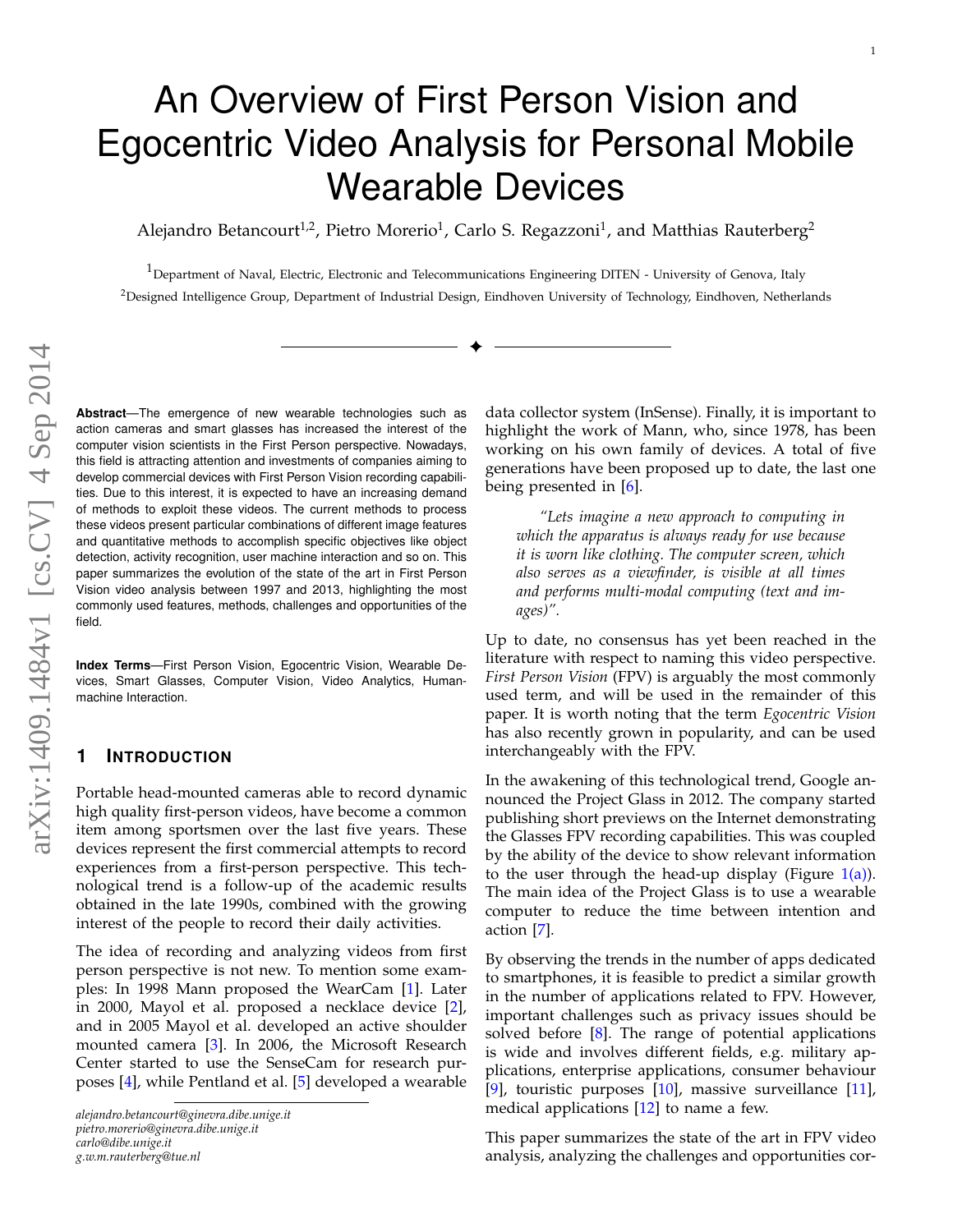# An Overview of First Person Vision and Egocentric Video Analysis for Personal Mobile Wearable Devices

Alejandro Betancourt<sup>1,2</sup>, Pietro Morerio<sup>1</sup>, Carlo S. Regazzoni<sup>1</sup>, and Matthias Rauterberg<sup>2</sup>

 $1$ Department of Naval, Electric, Electronic and Telecommunications Engineering DITEN - University of Genova, Italy <sup>2</sup>Designed Intelligence Group, Department of Industrial Design, Eindhoven University of Technology, Eindhoven, Netherlands

✦

**Abstract**—The emergence of new wearable technologies such as action cameras and smart glasses has increased the interest of the computer vision scientists in the First Person perspective. Nowadays, this field is attracting attention and investments of companies aiming to develop commercial devices with First Person Vision recording capabilities. Due to this interest, it is expected to have an increasing demand of methods to exploit these videos. The current methods to process these videos present particular combinations of different image features and quantitative methods to accomplish specific objectives like object detection, activity recognition, user machine interaction and so on. This paper summarizes the evolution of the state of the art in First Person Vision video analysis between 1997 and 2013, highlighting the most commonly used features, methods, challenges and opportunities of the field.

**Index Terms**—First Person Vision, Egocentric Vision, Wearable Devices, Smart Glasses, Computer Vision, Video Analytics, Humanmachine Interaction.

## **1 INTRODUCTION**

Portable head-mounted cameras able to record dynamic high quality first-person videos, have become a common item among sportsmen over the last five years. These devices represent the first commercial attempts to record experiences from a first-person perspective. This technological trend is a follow-up of the academic results obtained in the late 1990s, combined with the growing interest of the people to record their daily activities.

The idea of recording and analyzing videos from first person perspective is not new. To mention some examples: In 1998 Mann proposed the WearCam [\[1\]](#page-10-0). Later in 2000, Mayol et al. proposed a necklace device [\[2\]](#page-10-1), and in 2005 Mayol et al. developed an active shoulder mounted camera [\[3\]](#page-10-2). In 2006, the Microsoft Research Center started to use the SenseCam for research purposes [\[4\]](#page-10-3), while Pentland et al. [\[5\]](#page-10-4) developed a wearable

*alejandro.betancourt@ginevra.dibe.unige.it pietro.morerio@ginevra.dibe.unige.it carlo@dibe.unige.it g.w.m.rauterberg@tue.nl*

data collector system (InSense). Finally, it is important to highlight the work of Mann, who, since 1978, has been working on his own family of devices. A total of five generations have been proposed up to date, the last one being presented in [\[6\]](#page-10-5).

*"Lets imagine a new approach to computing in which the apparatus is always ready for use because it is worn like clothing. The computer screen, which also serves as a viewfinder, is visible at all times and performs multi-modal computing (text and images)".*

Up to date, no consensus has yet been reached in the literature with respect to naming this video perspective. *First Person Vision* (FPV) is arguably the most commonly used term, and will be used in the remainder of this paper. It is worth noting that the term *Egocentric Vision* has also recently grown in popularity, and can be used interchangeably with the FPV.

In the awakening of this technological trend, Google announced the Project Glass in 2012. The company started publishing short previews on the Internet demonstrating the Glasses FPV recording capabilities. This was coupled by the ability of the device to show relevant information to the user through the head-up display (Figure  $1(a)$ ). The main idea of the Project Glass is to use a wearable computer to reduce the time between intention and action [\[7\]](#page-10-6).

By observing the trends in the number of apps dedicated to smartphones, it is feasible to predict a similar growth in the number of applications related to FPV. However, important challenges such as privacy issues should be solved before [\[8\]](#page-10-7). The range of potential applications is wide and involves different fields, e.g. military applications, enterprise applications, consumer behaviour [\[9\]](#page-10-8), touristic purposes [\[10\]](#page-10-9), massive surveillance [\[11\]](#page-10-10), medical applications [\[12\]](#page-10-11) to name a few.

This paper summarizes the state of the art in FPV video analysis, analyzing the challenges and opportunities cor-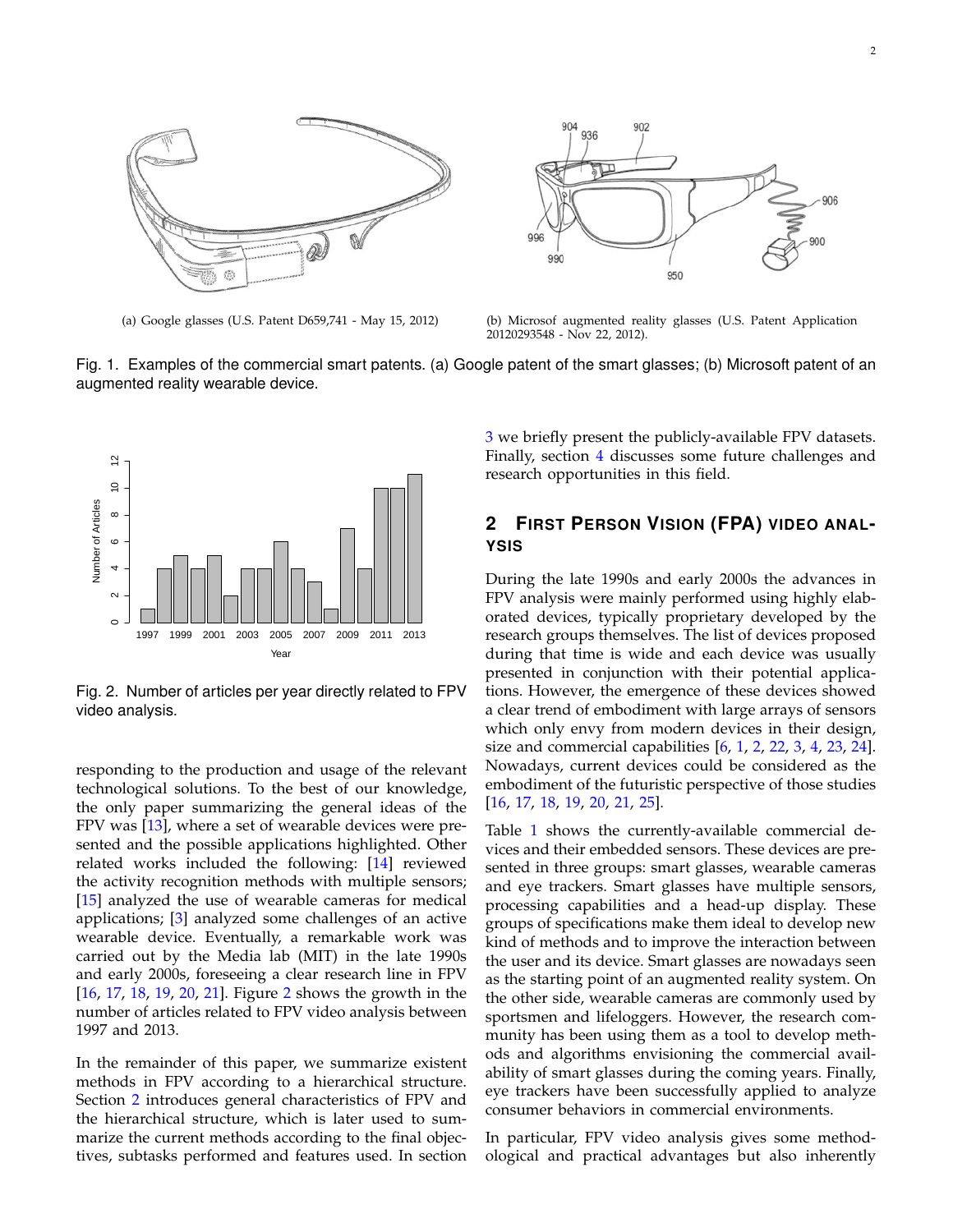<span id="page-1-0"></span>



(a) Google glasses (U.S. Patent D659,741 - May 15, 2012) (b) Microsof augmented reality glasses (U.S. Patent Application 20120293548 - Nov 22, 2012).

Fig. 1. Examples of the commercial smart patents. (a) Google patent of the smart glasses; (b) Microsoft patent of an augmented reality wearable device.



<span id="page-1-1"></span>Fig. 2. Number of articles per year directly related to FPV video analysis.

responding to the production and usage of the relevant technological solutions. To the best of our knowledge, the only paper summarizing the general ideas of the FPV was [\[13\]](#page-10-12), where a set of wearable devices were presented and the possible applications highlighted. Other related works included the following: [\[14\]](#page-10-13) reviewed the activity recognition methods with multiple sensors; [\[15\]](#page-10-14) analyzed the use of wearable cameras for medical applications; [\[3\]](#page-10-2) analyzed some challenges of an active wearable device. Eventually, a remarkable work was carried out by the Media lab (MIT) in the late 1990s and early 2000s, foreseeing a clear research line in FPV [\[16,](#page-10-15) [17,](#page-10-16) [18,](#page-10-17) [19,](#page-10-18) [20,](#page-10-19) [21\]](#page-10-20). Figure [2](#page-1-1) shows the growth in the number of articles related to FPV video analysis between 1997 and 2013.

In the remainder of this paper, we summarize existent methods in FPV according to a hierarchical structure. Section [2](#page-1-2) introduces general characteristics of FPV and the hierarchical structure, which is later used to summarize the current methods according to the final objectives, subtasks performed and features used. In section

[3](#page-8-0) we briefly present the publicly-available FPV datasets. Finally, section [4](#page-9-0) discusses some future challenges and research opportunities in this field.

## <span id="page-1-2"></span>**2 FIRST PERSON VISION (FPA) VIDEO ANAL-YSIS**

During the late 1990s and early 2000s the advances in FPV analysis were mainly performed using highly elaborated devices, typically proprietary developed by the research groups themselves. The list of devices proposed during that time is wide and each device was usually presented in conjunction with their potential applications. However, the emergence of these devices showed a clear trend of embodiment with large arrays of sensors which only envy from modern devices in their design, size and commercial capabilities  $[6, 1, 2, 22, 3, 4, 23, 24]$  $[6, 1, 2, 22, 3, 4, 23, 24]$  $[6, 1, 2, 22, 3, 4, 23, 24]$  $[6, 1, 2, 22, 3, 4, 23, 24]$  $[6, 1, 2, 22, 3, 4, 23, 24]$  $[6, 1, 2, 22, 3, 4, 23, 24]$  $[6, 1, 2, 22, 3, 4, 23, 24]$  $[6, 1, 2, 22, 3, 4, 23, 24]$  $[6, 1, 2, 22, 3, 4, 23, 24]$  $[6, 1, 2, 22, 3, 4, 23, 24]$  $[6, 1, 2, 22, 3, 4, 23, 24]$  $[6, 1, 2, 22, 3, 4, 23, 24]$  $[6, 1, 2, 22, 3, 4, 23, 24]$  $[6, 1, 2, 22, 3, 4, 23, 24]$  $[6, 1, 2, 22, 3, 4, 23, 24]$ . Nowadays, current devices could be considered as the embodiment of the futuristic perspective of those studies [\[16,](#page-10-15) [17,](#page-10-16) [18,](#page-10-17) [19,](#page-10-18) [20,](#page-10-19) [21,](#page-10-20) [25\]](#page-10-24).

Table [1](#page-2-0) shows the currently-available commercial devices and their embedded sensors. These devices are presented in three groups: smart glasses, wearable cameras and eye trackers. Smart glasses have multiple sensors, processing capabilities and a head-up display. These groups of specifications make them ideal to develop new kind of methods and to improve the interaction between the user and its device. Smart glasses are nowadays seen as the starting point of an augmented reality system. On the other side, wearable cameras are commonly used by sportsmen and lifeloggers. However, the research community has been using them as a tool to develop methods and algorithms envisioning the commercial availability of smart glasses during the coming years. Finally, eye trackers have been successfully applied to analyze consumer behaviors in commercial environments.

In particular, FPV video analysis gives some methodological and practical advantages but also inherently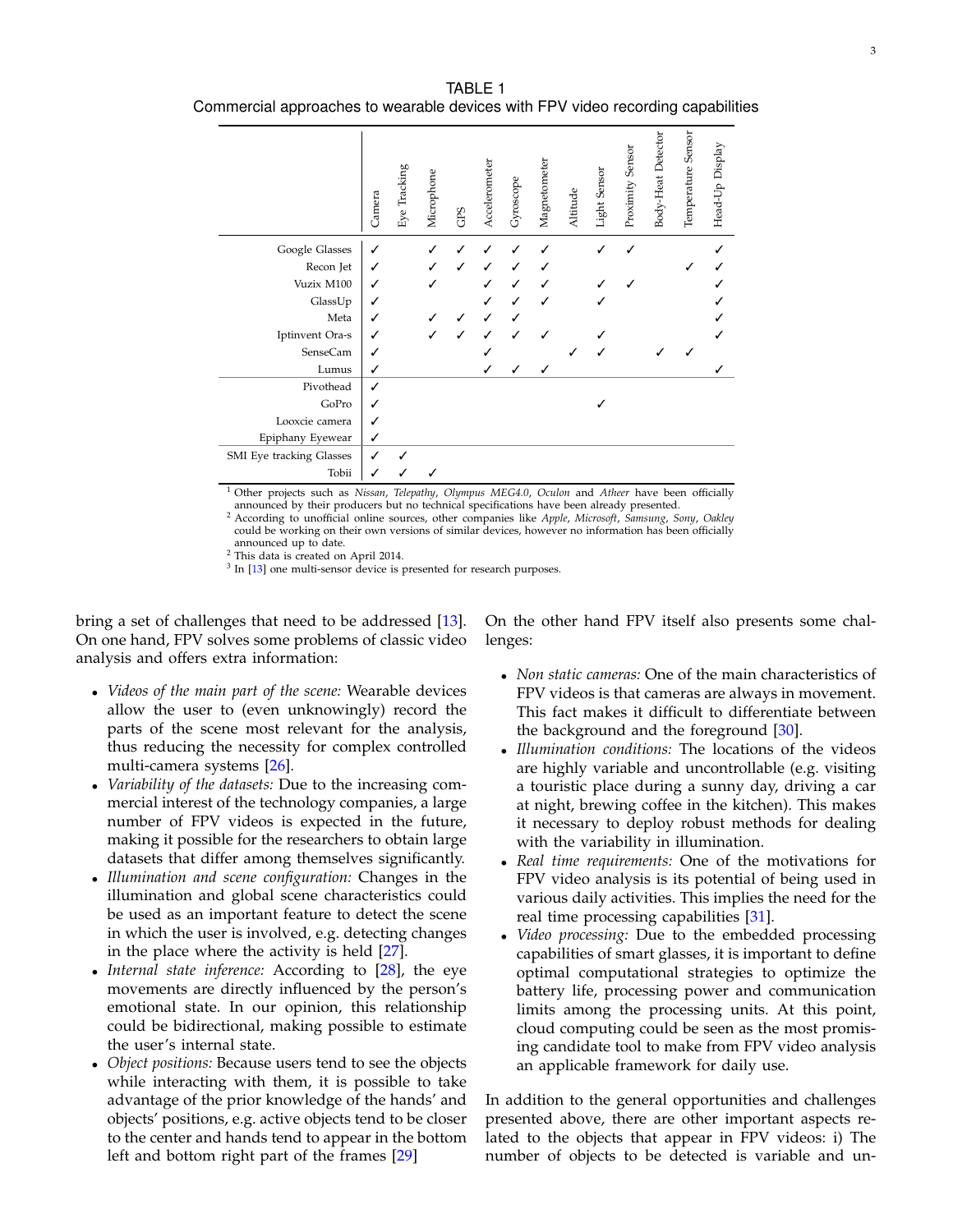<span id="page-2-0"></span>TABLE 1 Commercial approaches to wearable devices with FPV video recording capabilities

|                          | Camera | Eye Tracking | Microphone | GPS | Accelerometer | Gyroscope | Magnetometer | Altitude | Light Sensor | Proximity Sensor | Body-Heat Detector | Temperature Sensor | Head-Up Display |
|--------------------------|--------|--------------|------------|-----|---------------|-----------|--------------|----------|--------------|------------------|--------------------|--------------------|-----------------|
| Google Glasses           | ✓      |              |            |     |               |           |              |          |              |                  |                    |                    |                 |
| Recon Jet                | ✓      |              |            |     |               |           |              |          |              |                  |                    |                    |                 |
| Vuzix M100               | ✓      |              |            |     |               |           |              |          |              |                  |                    |                    |                 |
| GlassUp                  | ✓      |              |            |     |               |           |              |          |              |                  |                    |                    |                 |
| Meta                     | ✓      |              |            |     |               |           |              |          |              |                  |                    |                    |                 |
| Iptinvent Ora-s          | ✓      |              |            |     |               |           |              |          |              |                  |                    |                    |                 |
| SenseCam                 | ✓      |              |            |     |               |           |              |          |              |                  |                    |                    |                 |
| Lumus                    | ✓      |              |            |     |               |           |              |          |              |                  |                    |                    |                 |
| Pivothead                | ✓      |              |            |     |               |           |              |          |              |                  |                    |                    |                 |
| GoPro                    | ✓      |              |            |     |               |           |              |          |              |                  |                    |                    |                 |
| Looxcie camera           |        |              |            |     |               |           |              |          |              |                  |                    |                    |                 |
| Epiphany Eyewear         | ✓      |              |            |     |               |           |              |          |              |                  |                    |                    |                 |
| SMI Eye tracking Glasses | ✓      |              |            |     |               |           |              |          |              |                  |                    |                    |                 |
| Tobii                    | ✓      |              |            |     |               |           |              |          |              |                  |                    |                    |                 |

<sup>1</sup> Other projects such as *Nissan*, *Telepathy*, *Olympus MEG4.0*, *Oculon* and *Atheer* have been officially announced by their producers but no technical specifications have been already presented.

<sup>2</sup> According to unofficial online sources, other companies like *Apple*, Microsoft, Samsung, Sony, Oakley could be working on their own versions of similar devices, however no information has been officially announced up to date.

<sup>2</sup> This data is created on April 2014.

<sup>3</sup> In [\[13\]](#page-10-12) one multi-sensor device is presented for research purposes.

bring a set of challenges that need to be addressed [\[13\]](#page-10-12). On one hand, FPV solves some problems of classic video analysis and offers extra information:

- *Videos of the main part of the scene:* Wearable devices allow the user to (even unknowingly) record the parts of the scene most relevant for the analysis, thus reducing the necessity for complex controlled multi-camera systems [\[26\]](#page-10-25).
- *Variability of the datasets:* Due to the increasing commercial interest of the technology companies, a large number of FPV videos is expected in the future, making it possible for the researchers to obtain large datasets that differ among themselves significantly.
- *Illumination and scene configuration:* Changes in the illumination and global scene characteristics could be used as an important feature to detect the scene in which the user is involved, e.g. detecting changes in the place where the activity is held [\[27\]](#page-11-0).
- Internal state inference: According to [\[28\]](#page-11-1), the eye movements are directly influenced by the person's emotional state. In our opinion, this relationship could be bidirectional, making possible to estimate the user's internal state.
- *Object positions:* Because users tend to see the objects while interacting with them, it is possible to take advantage of the prior knowledge of the hands' and objects' positions, e.g. active objects tend to be closer to the center and hands tend to appear in the bottom left and bottom right part of the frames [\[29\]](#page-11-2)

On the other hand FPV itself also presents some challenges:

- *Non static cameras:* One of the main characteristics of FPV videos is that cameras are always in movement. This fact makes it difficult to differentiate between the background and the foreground [\[30\]](#page-11-3).
- *Illumination conditions:* The locations of the videos are highly variable and uncontrollable (e.g. visiting a touristic place during a sunny day, driving a car at night, brewing coffee in the kitchen). This makes it necessary to deploy robust methods for dealing with the variability in illumination.
- *Real time requirements:* One of the motivations for FPV video analysis is its potential of being used in various daily activities. This implies the need for the real time processing capabilities [\[31\]](#page-11-4).
- *Video processing:* Due to the embedded processing capabilities of smart glasses, it is important to define optimal computational strategies to optimize the battery life, processing power and communication limits among the processing units. At this point, cloud computing could be seen as the most promising candidate tool to make from FPV video analysis an applicable framework for daily use.

In addition to the general opportunities and challenges presented above, there are other important aspects related to the objects that appear in FPV videos: i) The number of objects to be detected is variable and un-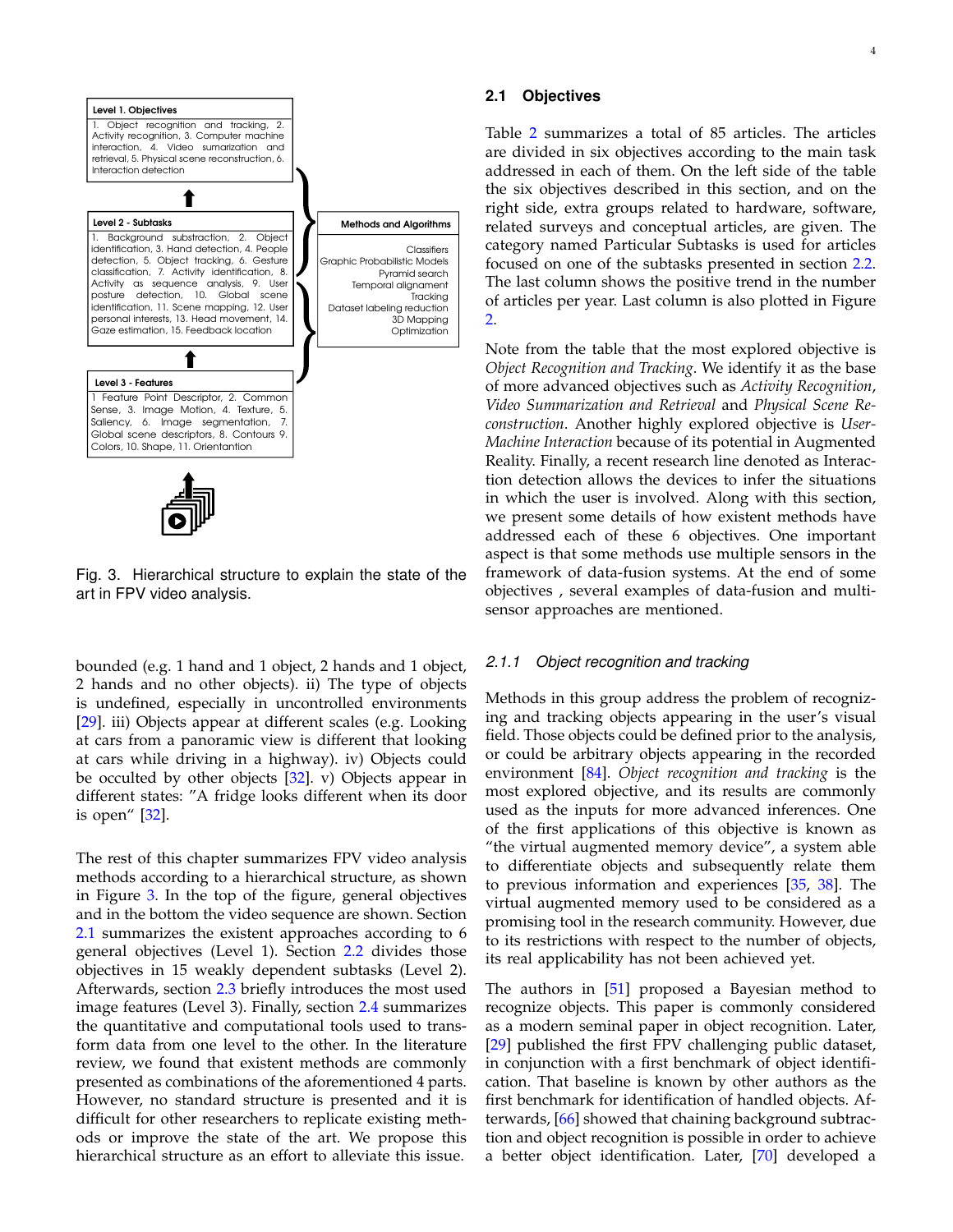

<span id="page-3-0"></span>Fig. 3. Hierarchical structure to explain the state of the art in FPV video analysis.

bounded (e.g. 1 hand and 1 object, 2 hands and 1 object, 2 hands and no other objects). ii) The type of objects is undefined, especially in uncontrolled environments [\[29\]](#page-11-2). iii) Objects appear at different scales (e.g. Looking at cars from a panoramic view is different that looking at cars while driving in a highway). iv) Objects could be occulted by other objects  $[32]$ . v) Objects appear in different states: "A fridge looks different when its door is open" [\[32\]](#page-11-5).

The rest of this chapter summarizes FPV video analysis methods according to a hierarchical structure, as shown in Figure [3.](#page-3-0) In the top of the figure, general objectives and in the bottom the video sequence are shown. Section [2.1](#page-3-1) summarizes the existent approaches according to 6 general objectives (Level 1). Section [2.2](#page-6-0) divides those objectives in 15 weakly dependent subtasks (Level 2). Afterwards, section [2.3](#page-6-1) briefly introduces the most used image features (Level 3). Finally, section [2.4](#page-8-1) summarizes the quantitative and computational tools used to transform data from one level to the other. In the literature review, we found that existent methods are commonly presented as combinations of the aforementioned 4 parts. However, no standard structure is presented and it is difficult for other researchers to replicate existing methods or improve the state of the art. We propose this hierarchical structure as an effort to alleviate this issue.

## <span id="page-3-1"></span>**2.1 Objectives**

Table [2](#page-4-0) summarizes a total of 85 articles. The articles are divided in six objectives according to the main task addressed in each of them. On the left side of the table the six objectives described in this section, and on the right side, extra groups related to hardware, software, related surveys and conceptual articles, are given. The category named Particular Subtasks is used for articles focused on one of the subtasks presented in section [2.2.](#page-6-0) The last column shows the positive trend in the number of articles per year. Last column is also plotted in Figure [2.](#page-1-1)

Note from the table that the most explored objective is *Object Recognition and Tracking*. We identify it as the base of more advanced objectives such as *Activity Recognition*, *Video Summarization and Retrieval* and *Physical Scene Reconstruction*. Another highly explored objective is *User-Machine Interaction* because of its potential in Augmented Reality. Finally, a recent research line denoted as Interaction detection allows the devices to infer the situations in which the user is involved. Along with this section, we present some details of how existent methods have addressed each of these 6 objectives. One important aspect is that some methods use multiple sensors in the framework of data-fusion systems. At the end of some objectives , several examples of data-fusion and multisensor approaches are mentioned.

#### *2.1.1 Object recognition and tracking*

Methods in this group address the problem of recognizing and tracking objects appearing in the user's visual field. Those objects could be defined prior to the analysis, or could be arbitrary objects appearing in the recorded environment [\[84\]](#page-12-0). *Object recognition and tracking* is the most explored objective, and its results are commonly used as the inputs for more advanced inferences. One of the first applications of this objective is known as "the virtual augmented memory device", a system able to differentiate objects and subsequently relate them to previous information and experiences [\[35,](#page-11-6) [38\]](#page-11-7). The virtual augmented memory used to be considered as a promising tool in the research community. However, due to its restrictions with respect to the number of objects, its real applicability has not been achieved yet.

The authors in [\[51\]](#page-11-8) proposed a Bayesian method to recognize objects. This paper is commonly considered as a modern seminal paper in object recognition. Later, [\[29\]](#page-11-2) published the first FPV challenging public dataset, in conjunction with a first benchmark of object identification. That baseline is known by other authors as the first benchmark for identification of handled objects. Afterwards, [\[66\]](#page-11-9) showed that chaining background subtraction and object recognition is possible in order to achieve a better object identification. Later, [\[70\]](#page-11-10) developed a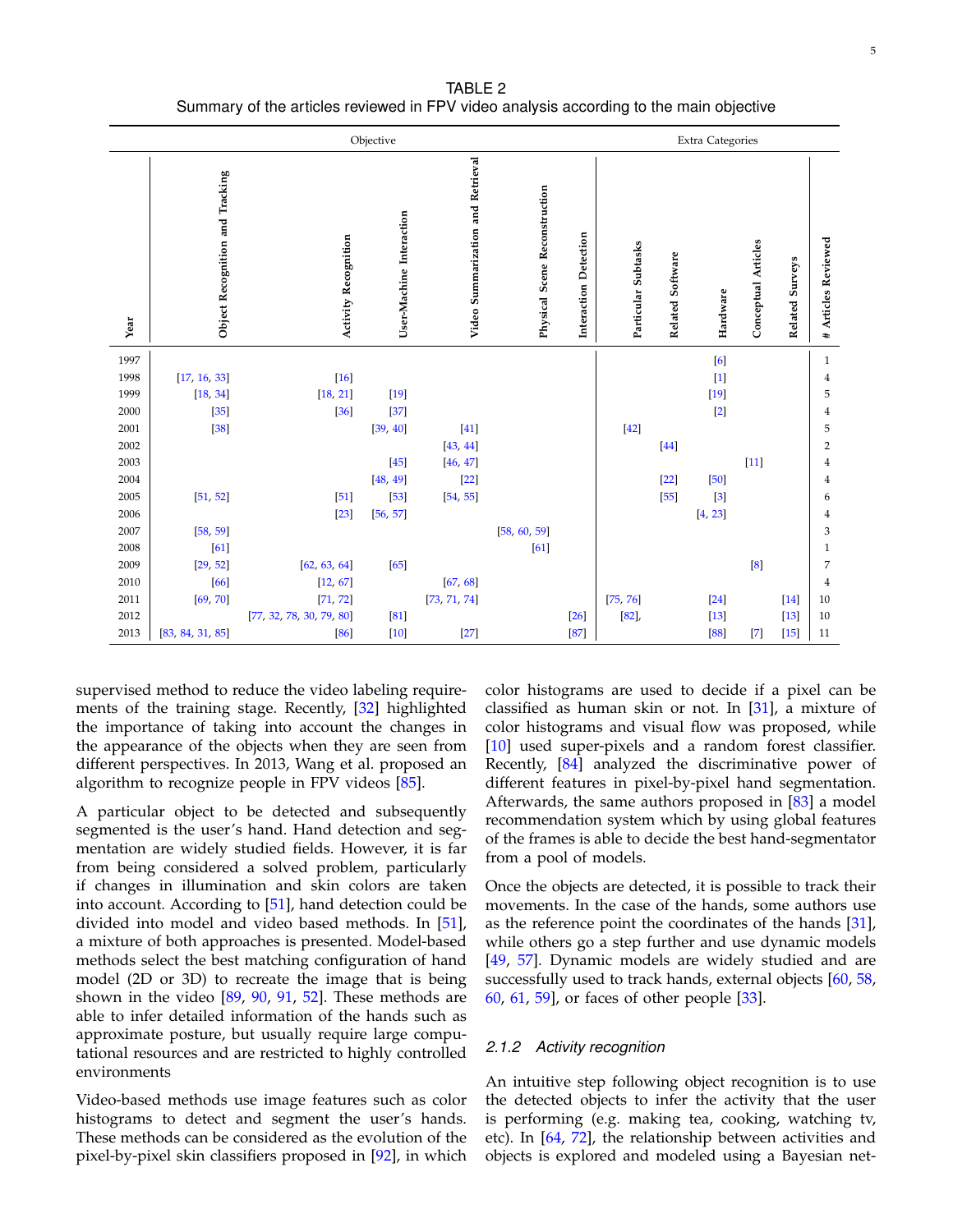<span id="page-4-0"></span>

|      |                                 | Objective                |                          | <b>Extra Categories</b>           |                               |                       |                     |                  |          |                            |                    |                                |  |
|------|---------------------------------|--------------------------|--------------------------|-----------------------------------|-------------------------------|-----------------------|---------------------|------------------|----------|----------------------------|--------------------|--------------------------------|--|
| Year | Object Recognition and Tracking | Activity Recognition     | User-Machine Interaction | Video Summarization and Retrieval | Physical Scene Reconstruction | Interaction Detection | Particular Subtasks | Related Software | Hardware | <b>Conceptual Articles</b> | Surveys<br>Related | Articles Reviewed<br>$\ddot{}$ |  |
| 1997 |                                 |                          |                          |                                   |                               |                       |                     |                  | [6]      |                            |                    | $\mathbf{1}$                   |  |
| 1998 | [17, 16, 33]                    | $[16]$                   |                          |                                   |                               |                       |                     |                  | $[1]$    |                            |                    | 4                              |  |
| 1999 | [18, 34]                        | [18, 21]                 | $[19]$                   |                                   |                               |                       |                     |                  | $[19]$   |                            |                    | 5                              |  |
| 2000 | $[35]$                          | $[36]$                   | $[37]$                   |                                   |                               |                       |                     |                  | $[2]$    |                            |                    | 4                              |  |
| 2001 | $[38]$                          |                          | [39, 40]                 | $[41]$                            |                               |                       | $[42]$              |                  |          |                            |                    | 5                              |  |
| 2002 |                                 |                          |                          | [43, 44]                          |                               |                       |                     | $[44]$           |          |                            |                    | $\overline{2}$                 |  |
| 2003 |                                 |                          | $[45]$                   | [46, 47]                          |                               |                       |                     |                  |          | $[11]$                     |                    | 4                              |  |
| 2004 |                                 |                          | [48, 49]                 | $[22]$                            |                               |                       |                     | $[22]$           | $[50]$   |                            |                    | 4                              |  |
| 2005 | [51, 52]                        | $[51]$                   | $[53]$                   | [54, 55]                          |                               |                       |                     | $[55]$           | $[3]$    |                            |                    | 6                              |  |
| 2006 |                                 | $[23]$                   | [56, 57]                 |                                   |                               |                       |                     |                  | [4, 23]  |                            |                    | 4                              |  |
| 2007 | [58, 59]                        |                          |                          |                                   | [58, 60, 59]                  |                       |                     |                  |          |                            |                    | 3                              |  |
| 2008 | [61]                            |                          |                          |                                   | [61]                          |                       |                     |                  |          |                            |                    | $\mathbf{1}$                   |  |
| 2009 | [29, 52]                        | [62, 63, 64]             | $[65]$                   |                                   |                               |                       |                     |                  |          | [8]                        |                    | 7                              |  |
| 2010 | $[66]$                          | [12, 67]                 |                          | [67, 68]                          |                               |                       |                     |                  |          |                            |                    | 4                              |  |
| 2011 | [69, 70]                        | [71, 72]                 |                          | [73, 71, 74]                      |                               |                       | [75, 76]            |                  | $[24]$   |                            | $[14]$             | 10                             |  |
| 2012 |                                 | [77, 32, 78, 30, 79, 80] | [81]                     |                                   |                               | $[26]$                | $[82]$              |                  | $[13]$   |                            | $[13]$             | 10                             |  |
| 2013 | [83, 84, 31, 85]                | [86]                     | $[10]$                   | $[27]$                            |                               | $[87]$                |                     |                  | [88]     | $[7]$                      | $[15]$             | 11                             |  |

TABLE 2 Summary of the articles reviewed in FPV video analysis according to the main objective

supervised method to reduce the video labeling requirements of the training stage. Recently, [\[32\]](#page-11-5) highlighted the importance of taking into account the changes in the appearance of the objects when they are seen from different perspectives. In 2013, Wang et al. proposed an algorithm to recognize people in FPV videos [\[85\]](#page-12-13).

A particular object to be detected and subsequently segmented is the user's hand. Hand detection and segmentation are widely studied fields. However, it is far from being considered a solved problem, particularly if changes in illumination and skin colors are taken into account. According to [\[51\]](#page-11-8), hand detection could be divided into model and video based methods. In [\[51\]](#page-11-8), a mixture of both approaches is presented. Model-based methods select the best matching configuration of hand model (2D or 3D) to recreate the image that is being shown in the video [\[89,](#page-12-17) [90,](#page-12-18) [91,](#page-12-19) [52\]](#page-11-27). These methods are able to infer detailed information of the hands such as approximate posture, but usually require large computational resources and are restricted to highly controlled environments

Video-based methods use image features such as color histograms to detect and segment the user's hands. These methods can be considered as the evolution of the pixel-by-pixel skin classifiers proposed in [\[92\]](#page-12-20), in which color histograms are used to decide if a pixel can be classified as human skin or not. In [\[31\]](#page-11-4), a mixture of color histograms and visual flow was proposed, while [\[10\]](#page-10-9) used super-pixels and a random forest classifier. Recently, [\[84\]](#page-12-0) analyzed the discriminative power of different features in pixel-by-pixel hand segmentation. Afterwards, the same authors proposed in  $[83]$  a model recommendation system which by using global features of the frames is able to decide the best hand-segmentator from a pool of models.

Once the objects are detected, it is possible to track their movements. In the case of the hands, some authors use as the reference point the coordinates of the hands [\[31\]](#page-11-4), while others go a step further and use dynamic models [\[49,](#page-11-25) [57\]](#page-11-32). Dynamic models are widely studied and are successfully used to track hands, external objects [\[60,](#page-11-35) [58,](#page-11-33) [60,](#page-11-35) [61,](#page-11-36) [59\]](#page-11-34), or faces of other people [\[33\]](#page-11-11).

#### *2.1.2 Activity recognition*

An intuitive step following object recognition is to use the detected objects to infer the activity that the user is performing (e.g. making tea, cooking, watching tv, etc). In [\[64,](#page-11-39) [72\]](#page-12-1), the relationship between activities and objects is explored and modeled using a Bayesian net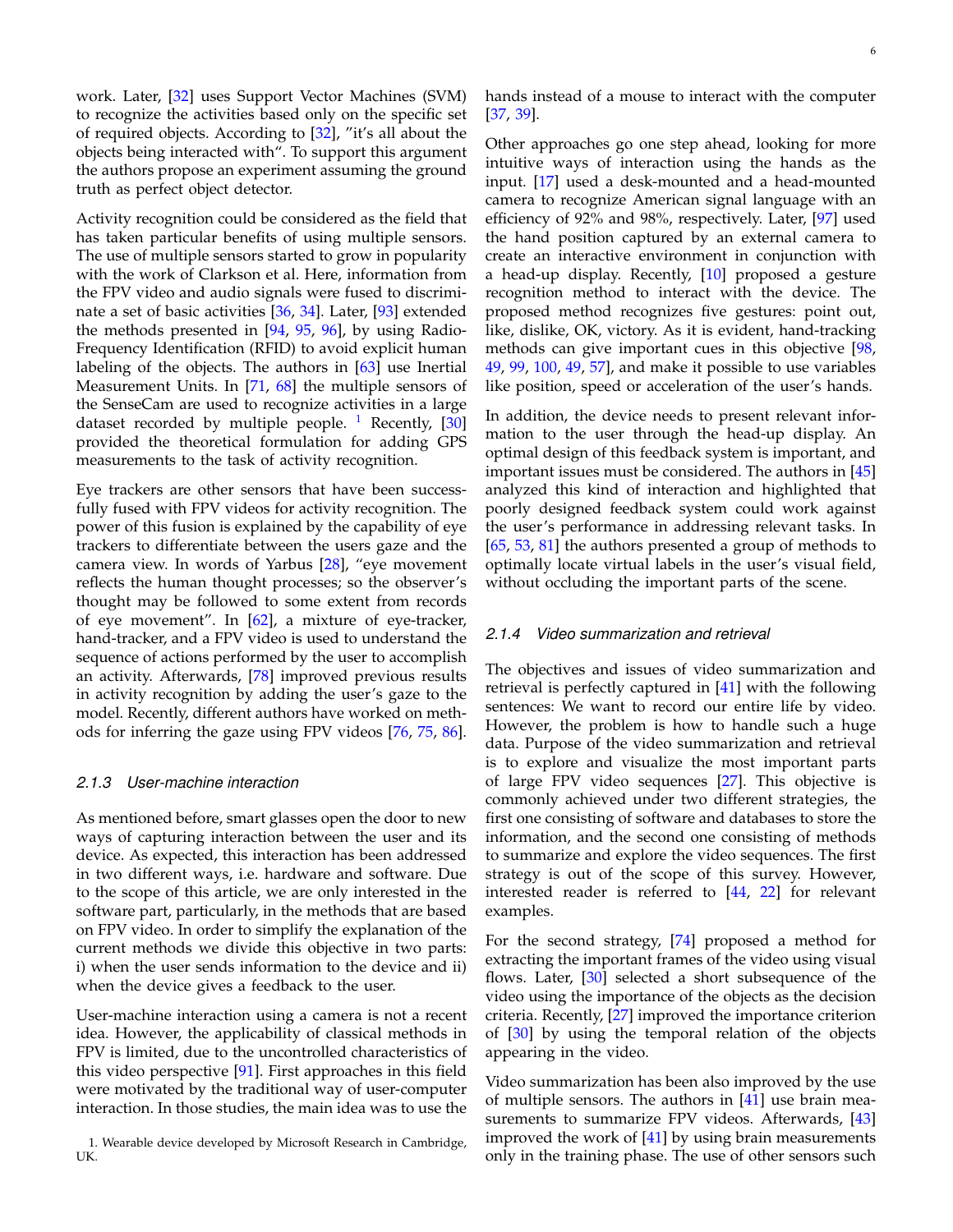work. Later, [\[32\]](#page-11-5) uses Support Vector Machines (SVM) to recognize the activities based only on the specific set of required objects. According to [\[32\]](#page-11-5), "it's all about the objects being interacted with". To support this argument the authors propose an experiment assuming the ground truth as perfect object detector.

Activity recognition could be considered as the field that has taken particular benefits of using multiple sensors. The use of multiple sensors started to grow in popularity with the work of Clarkson et al. Here, information from the FPV video and audio signals were fused to discriminate a set of basic activities [\[36,](#page-11-13) [34\]](#page-11-12). Later, [\[93\]](#page-12-21) extended the methods presented in [\[94,](#page-12-22) [95,](#page-12-23) [96\]](#page-12-24), by using Radio-Frequency Identification (RFID) to avoid explicit human labeling of the objects. The authors in [\[63\]](#page-11-38) use Inertial Measurement Units. In [\[71,](#page-11-44) [68\]](#page-11-42) the multiple sensors of the SenseCam are used to recognize activities in a large dataset recorded by multiple people.  $1$  Recently, [\[30\]](#page-11-3) provided the theoretical formulation for adding GPS measurements to the task of activity recognition.

Eye trackers are other sensors that have been successfully fused with FPV videos for activity recognition. The power of this fusion is explained by the capability of eye trackers to differentiate between the users gaze and the camera view. In words of Yarbus [\[28\]](#page-11-1), "eye movement reflects the human thought processes; so the observer's thought may be followed to some extent from records of eye movement". In  $[62]$ , a mixture of eye-tracker, hand-tracker, and a FPV video is used to understand the sequence of actions performed by the user to accomplish an activity. Afterwards, [\[78\]](#page-12-7) improved previous results in activity recognition by adding the user's gaze to the model. Recently, different authors have worked on methods for inferring the gaze using FPV videos [\[76,](#page-12-5) [75,](#page-12-4) [86\]](#page-12-14).

#### *2.1.3 User-machine interaction*

As mentioned before, smart glasses open the door to new ways of capturing interaction between the user and its device. As expected, this interaction has been addressed in two different ways, i.e. hardware and software. Due to the scope of this article, we are only interested in the software part, particularly, in the methods that are based on FPV video. In order to simplify the explanation of the current methods we divide this objective in two parts: i) when the user sends information to the device and ii) when the device gives a feedback to the user.

User-machine interaction using a camera is not a recent idea. However, the applicability of classical methods in FPV is limited, due to the uncontrolled characteristics of this video perspective [\[91\]](#page-12-19). First approaches in this field were motivated by the traditional way of user-computer interaction. In those studies, the main idea was to use the

hands instead of a mouse to interact with the computer [\[37,](#page-11-14) [39\]](#page-11-15).

Other approaches go one step ahead, looking for more intuitive ways of interaction using the hands as the input. [\[17\]](#page-10-16) used a desk-mounted and a head-mounted camera to recognize American signal language with an efficiency of 92% and 98%, respectively. Later, [\[97\]](#page-12-25) used the hand position captured by an external camera to create an interactive environment in conjunction with a head-up display. Recently, [\[10\]](#page-10-9) proposed a gesture recognition method to interact with the device. The proposed method recognizes five gestures: point out, like, dislike, OK, victory. As it is evident, hand-tracking methods can give important cues in this objective [\[98,](#page-12-26) [49,](#page-11-25) [99,](#page-12-27) [100,](#page-12-28) [49,](#page-11-25) [57\]](#page-11-32), and make it possible to use variables like position, speed or acceleration of the user's hands.

In addition, the device needs to present relevant information to the user through the head-up display. An optimal design of this feedback system is important, and important issues must be considered. The authors in  $[45]$ analyzed this kind of interaction and highlighted that poorly designed feedback system could work against the user's performance in addressing relevant tasks. In [\[65,](#page-11-40) [53,](#page-11-28) [81\]](#page-12-10) the authors presented a group of methods to optimally locate virtual labels in the user's visual field, without occluding the important parts of the scene.

## *2.1.4 Video summarization and retrieval*

The objectives and issues of video summarization and retrieval is perfectly captured in [\[41\]](#page-11-17) with the following sentences: We want to record our entire life by video. However, the problem is how to handle such a huge data. Purpose of the video summarization and retrieval is to explore and visualize the most important parts of large FPV video sequences [\[27\]](#page-11-0). This objective is commonly achieved under two different strategies, the first one consisting of software and databases to store the information, and the second one consisting of methods to summarize and explore the video sequences. The first strategy is out of the scope of this survey. However, interested reader is referred to [\[44,](#page-11-20) [22\]](#page-10-21) for relevant examples.

For the second strategy, [\[74\]](#page-12-3) proposed a method for extracting the important frames of the video using visual flows. Later, [\[30\]](#page-11-3) selected a short subsequence of the video using the importance of the objects as the decision criteria. Recently, [\[27\]](#page-11-0) improved the importance criterion of [\[30\]](#page-11-3) by using the temporal relation of the objects appearing in the video.

Video summarization has been also improved by the use of multiple sensors. The authors in  $[41]$  use brain mea-surements to summarize FPV videos. Afterwards, [\[43\]](#page-11-19) improved the work of  $[41]$  by using brain measurements only in the training phase. The use of other sensors such

<span id="page-5-0"></span><sup>1.</sup> Wearable device developed by Microsoft Research in Cambridge, UK.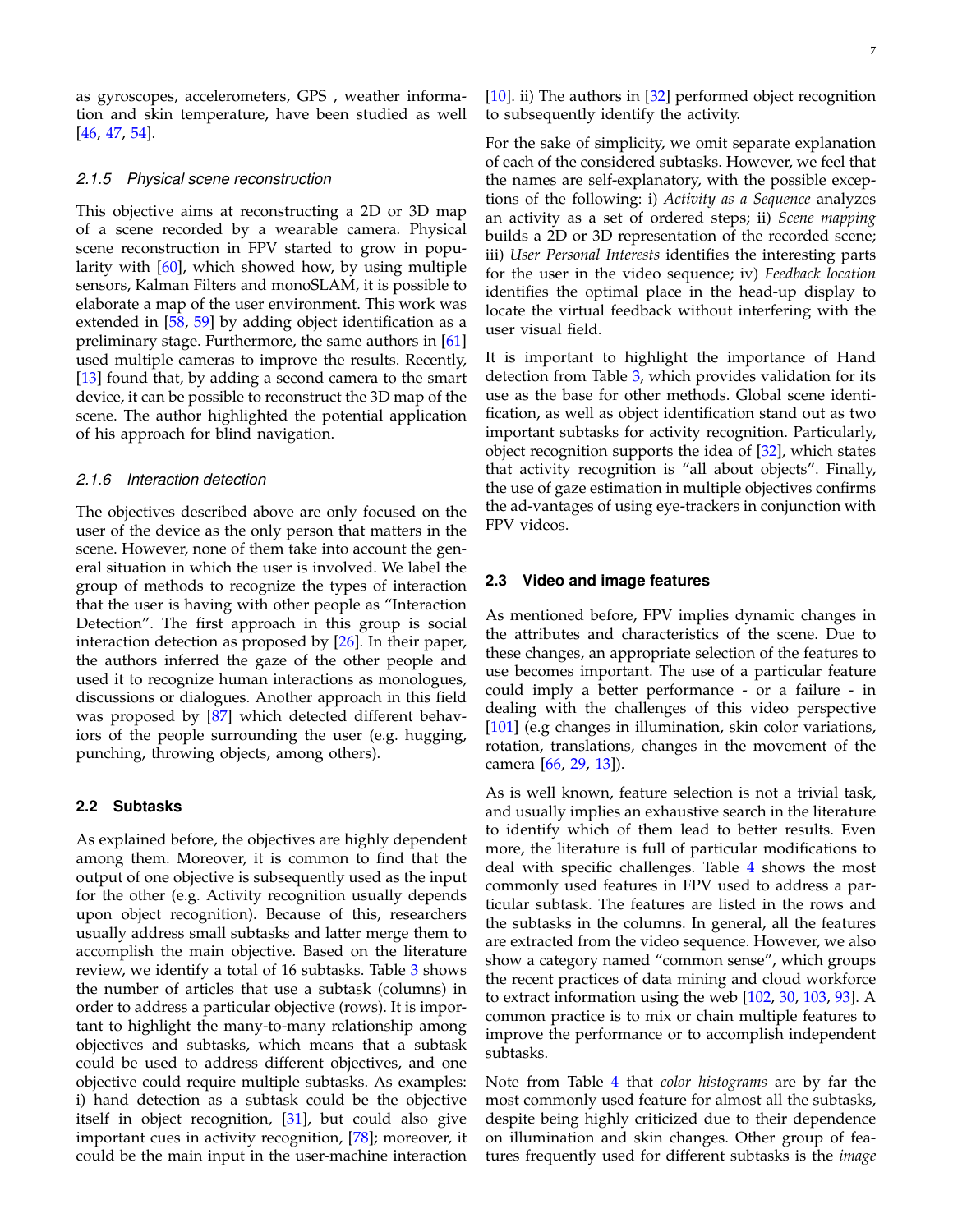as gyroscopes, accelerometers, GPS , weather information and skin temperature, have been studied as well [\[46,](#page-11-22) [47,](#page-11-23) [54\]](#page-11-29).

#### *2.1.5 Physical scene reconstruction*

This objective aims at reconstructing a 2D or 3D map of a scene recorded by a wearable camera. Physical scene reconstruction in FPV started to grow in popularity with [\[60\]](#page-11-35), which showed how, by using multiple sensors, Kalman Filters and monoSLAM, it is possible to elaborate a map of the user environment. This work was extended in [\[58,](#page-11-33) [59\]](#page-11-34) by adding object identification as a preliminary stage. Furthermore, the same authors in [\[61\]](#page-11-36) used multiple cameras to improve the results. Recently, [\[13\]](#page-10-12) found that, by adding a second camera to the smart device, it can be possible to reconstruct the 3D map of the scene. The author highlighted the potential application of his approach for blind navigation.

#### *2.1.6 Interaction detection*

The objectives described above are only focused on the user of the device as the only person that matters in the scene. However, none of them take into account the general situation in which the user is involved. We label the group of methods to recognize the types of interaction that the user is having with other people as "Interaction Detection". The first approach in this group is social interaction detection as proposed by [\[26\]](#page-10-25). In their paper, the authors inferred the gaze of the other people and used it to recognize human interactions as monologues, discussions or dialogues. Another approach in this field was proposed by [\[87\]](#page-12-15) which detected different behaviors of the people surrounding the user (e.g. hugging, punching, throwing objects, among others).

#### <span id="page-6-0"></span>**2.2 Subtasks**

As explained before, the objectives are highly dependent among them. Moreover, it is common to find that the output of one objective is subsequently used as the input for the other (e.g. Activity recognition usually depends upon object recognition). Because of this, researchers usually address small subtasks and latter merge them to accomplish the main objective. Based on the literature review, we identify a total of 16 subtasks. Table [3](#page-7-0) shows the number of articles that use a subtask (columns) in order to address a particular objective (rows). It is important to highlight the many-to-many relationship among objectives and subtasks, which means that a subtask could be used to address different objectives, and one objective could require multiple subtasks. As examples: i) hand detection as a subtask could be the objective itself in object recognition, [\[31\]](#page-11-4), but could also give important cues in activity recognition, [\[78\]](#page-12-7); moreover, it could be the main input in the user-machine interaction

[\[10\]](#page-10-9). ii) The authors in [\[32\]](#page-11-5) performed object recognition to subsequently identify the activity.

For the sake of simplicity, we omit separate explanation of each of the considered subtasks. However, we feel that the names are self-explanatory, with the possible exceptions of the following: i) *Activity as a Sequence* analyzes an activity as a set of ordered steps; ii) *Scene mapping* builds a 2D or 3D representation of the recorded scene; iii) *User Personal Interests* identifies the interesting parts for the user in the video sequence; iv) *Feedback location* identifies the optimal place in the head-up display to locate the virtual feedback without interfering with the user visual field.

It is important to highlight the importance of Hand detection from Table [3,](#page-7-0) which provides validation for its use as the base for other methods. Global scene identification, as well as object identification stand out as two important subtasks for activity recognition. Particularly, object recognition supports the idea of  $[32]$ , which states that activity recognition is "all about objects". Finally, the use of gaze estimation in multiple objectives confirms the ad-vantages of using eye-trackers in conjunction with FPV videos.

### <span id="page-6-1"></span>**2.3 Video and image features**

As mentioned before, FPV implies dynamic changes in the attributes and characteristics of the scene. Due to these changes, an appropriate selection of the features to use becomes important. The use of a particular feature could imply a better performance - or a failure - in dealing with the challenges of this video perspective [\[101\]](#page-12-29) (e.g changes in illumination, skin color variations, rotation, translations, changes in the movement of the camera [\[66,](#page-11-9) [29,](#page-11-2) [13\]](#page-10-12)).

As is well known, feature selection is not a trivial task, and usually implies an exhaustive search in the literature to identify which of them lead to better results. Even more, the literature is full of particular modifications to deal with specific challenges. Table [4](#page-7-1) shows the most commonly used features in FPV used to address a particular subtask. The features are listed in the rows and the subtasks in the columns. In general, all the features are extracted from the video sequence. However, we also show a category named "common sense", which groups the recent practices of data mining and cloud workforce to extract information using the web [\[102,](#page-12-30) [30,](#page-11-3) [103,](#page-12-31) [93\]](#page-12-21). A common practice is to mix or chain multiple features to improve the performance or to accomplish independent subtasks.

Note from Table [4](#page-7-1) that *color histograms* are by far the most commonly used feature for almost all the subtasks, despite being highly criticized due to their dependence on illumination and skin changes. Other group of features frequently used for different subtasks is the *image*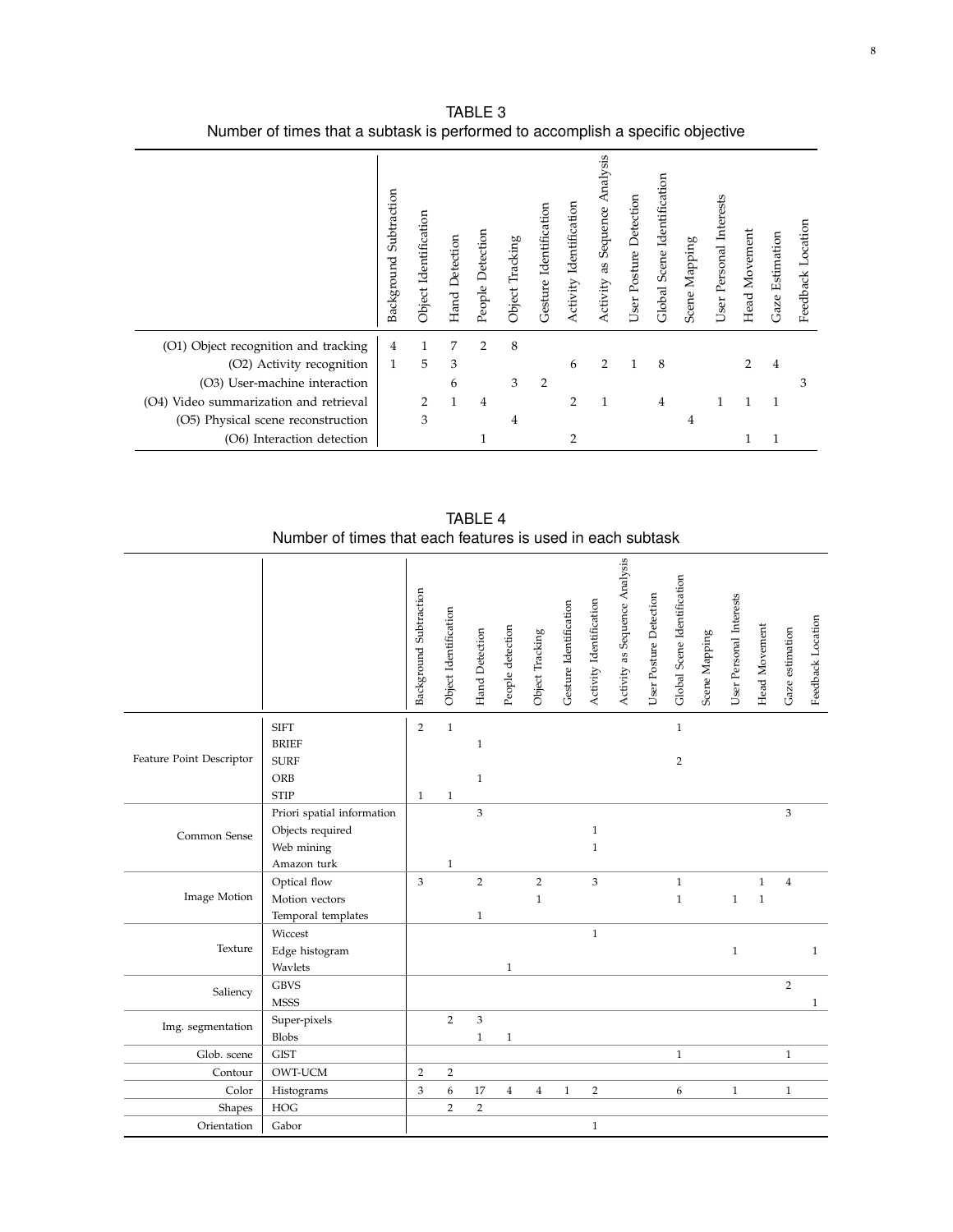<span id="page-7-0"></span>

|                                           | Subtraction<br>Background | Object Identification | Hand Detection | People Detection | Object Tracking | Gesture Identification | Identification<br><b>Activity</b> | Analysis<br>as Sequence<br>Activity | User Posture Detection | Global Scene Identification | Scene Mapping | User Personal Interests | Head Movement | Gaze Estimation | Feedback Location |
|-------------------------------------------|---------------------------|-----------------------|----------------|------------------|-----------------|------------------------|-----------------------------------|-------------------------------------|------------------------|-----------------------------|---------------|-------------------------|---------------|-----------------|-------------------|
| (O1) Object recognition and tracking      | 4                         |                       | 7              | $\overline{2}$   | 8               |                        |                                   |                                     |                        |                             |               |                         |               |                 |                   |
| (O2) Activity recognition                 | $\mathbf{1}$              | 5                     | 3              |                  |                 |                        | 6                                 | 2                                   | -1                     | 8                           |               |                         | 2             | 4               |                   |
| (O3) User-machine interaction             |                           |                       | 6              |                  | 3               | $\overline{2}$         |                                   |                                     |                        |                             |               |                         |               |                 | 3                 |
| Video summarization and retrieval<br>(O4) |                           | 2                     |                | 4                |                 |                        | 2                                 |                                     |                        | 4                           |               |                         |               | 1               |                   |
| (O5) Physical scene reconstruction        |                           | 3                     |                |                  | 4               |                        |                                   |                                     |                        |                             | 4             |                         |               |                 |                   |
| (O6) Interaction detection                |                           |                       |                |                  |                 |                        | 2                                 |                                     |                        |                             |               |                         |               |                 |                   |

TABLE 3 Number of times that a subtask is performed to accomplish a specific objective

TABLE 4 Number of times that each features is used in each subtask

<span id="page-7-1"></span>

|                          |                            | Background Subtraction | Object Identification | Hand Detection            | People detection | Object Tracking | Gesture Identification | Activity Identification | Activity as Sequence Analysis | User Posture Detection | Global Scene Identification | Scene Mapping | User Personal Interests | Head Movement | Gaze estimation | Feedback Location |
|--------------------------|----------------------------|------------------------|-----------------------|---------------------------|------------------|-----------------|------------------------|-------------------------|-------------------------------|------------------------|-----------------------------|---------------|-------------------------|---------------|-----------------|-------------------|
|                          | <b>SIFT</b>                | $\overline{2}$         | $\,1\,$               |                           |                  |                 |                        |                         |                               |                        | $\mathbf{1}$                |               |                         |               |                 |                   |
|                          | <b>BRIEF</b>               |                        |                       | $\mathbf{1}$              |                  |                 |                        |                         |                               |                        |                             |               |                         |               |                 |                   |
| Feature Point Descriptor | <b>SURF</b>                |                        |                       |                           |                  |                 |                        |                         |                               |                        | $\overline{2}$              |               |                         |               |                 |                   |
|                          | ORB                        |                        |                       | $\mathbf{1}$              |                  |                 |                        |                         |                               |                        |                             |               |                         |               |                 |                   |
|                          | <b>STIP</b>                | $\mathbf{1}$           | $\mathbf{1}$          |                           |                  |                 |                        |                         |                               |                        |                             |               |                         |               |                 |                   |
| Common Sense             | Priori spatial information |                        |                       | 3                         |                  |                 |                        |                         |                               |                        |                             |               |                         |               | 3               |                   |
|                          | Objects required           |                        |                       |                           |                  |                 |                        | $\mathbf{1}$            |                               |                        |                             |               |                         |               |                 |                   |
|                          | Web mining                 |                        |                       |                           |                  |                 |                        | $\mathbf{1}$            |                               |                        |                             |               |                         |               |                 |                   |
|                          | Amazon turk                |                        | $\mathbf{1}$          |                           |                  |                 |                        |                         |                               |                        |                             |               |                         |               |                 |                   |
|                          | Optical flow               | 3                      |                       | $\overline{2}$            |                  | $\overline{2}$  |                        | 3                       |                               |                        | $\mathbf{1}$                |               |                         | $\mathbf{1}$  | $\overline{4}$  |                   |
| Image Motion             | Motion vectors             |                        |                       |                           |                  | $\mathbf{1}$    |                        |                         |                               |                        | $\mathbf{1}$                |               | $\mathbf{1}$            | $\mathbf{1}$  |                 |                   |
|                          | Temporal templates         |                        |                       | $\mathbf{1}$              |                  |                 |                        |                         |                               |                        |                             |               |                         |               |                 |                   |
|                          | Wiccest                    |                        |                       |                           |                  |                 |                        | $1\,$                   |                               |                        |                             |               |                         |               |                 |                   |
| Texture                  | Edge histogram             |                        |                       |                           |                  |                 |                        |                         |                               |                        |                             |               | $\mathbf{1}$            |               |                 | $\mathbf{1}$      |
|                          | Wavlets                    |                        |                       |                           | $\mathbf{1}$     |                 |                        |                         |                               |                        |                             |               |                         |               |                 |                   |
|                          | <b>GBVS</b>                |                        |                       |                           |                  |                 |                        |                         |                               |                        |                             |               |                         |               | $\overline{2}$  |                   |
| Saliency                 | <b>MSSS</b>                |                        |                       |                           |                  |                 |                        |                         |                               |                        |                             |               |                         |               |                 | $\mathbf{1}$      |
|                          | Super-pixels               |                        | $\overline{2}$        | $\ensuremath{\mathsf{3}}$ |                  |                 |                        |                         |                               |                        |                             |               |                         |               |                 |                   |
| Img. segmentation        | <b>Blobs</b>               |                        |                       | $\mathbf{1}$              | $\mathbf{1}$     |                 |                        |                         |                               |                        |                             |               |                         |               |                 |                   |
| Glob. scene              | <b>GIST</b>                |                        |                       |                           |                  |                 |                        |                         |                               |                        | $\mathbf{1}$                |               |                         |               | $\mathbf{1}$    |                   |
| Contour                  | OWT-UCM                    | $\overline{2}$         | 2                     |                           |                  |                 |                        |                         |                               |                        |                             |               |                         |               |                 |                   |
| Color                    | Histograms                 | 3                      | 6                     | 17                        | $\overline{4}$   | $\overline{4}$  | $1\,$                  | $\overline{c}$          |                               |                        | 6                           |               | $1\,$                   |               | $\mathbf{1}$    |                   |
| Shapes                   | HOG                        |                        | $\overline{2}$        | $\overline{2}$            |                  |                 |                        |                         |                               |                        |                             |               |                         |               |                 |                   |
| Orientation              | Gabor                      |                        |                       |                           |                  |                 |                        | $\mathbf{1}$            |                               |                        |                             |               |                         |               |                 |                   |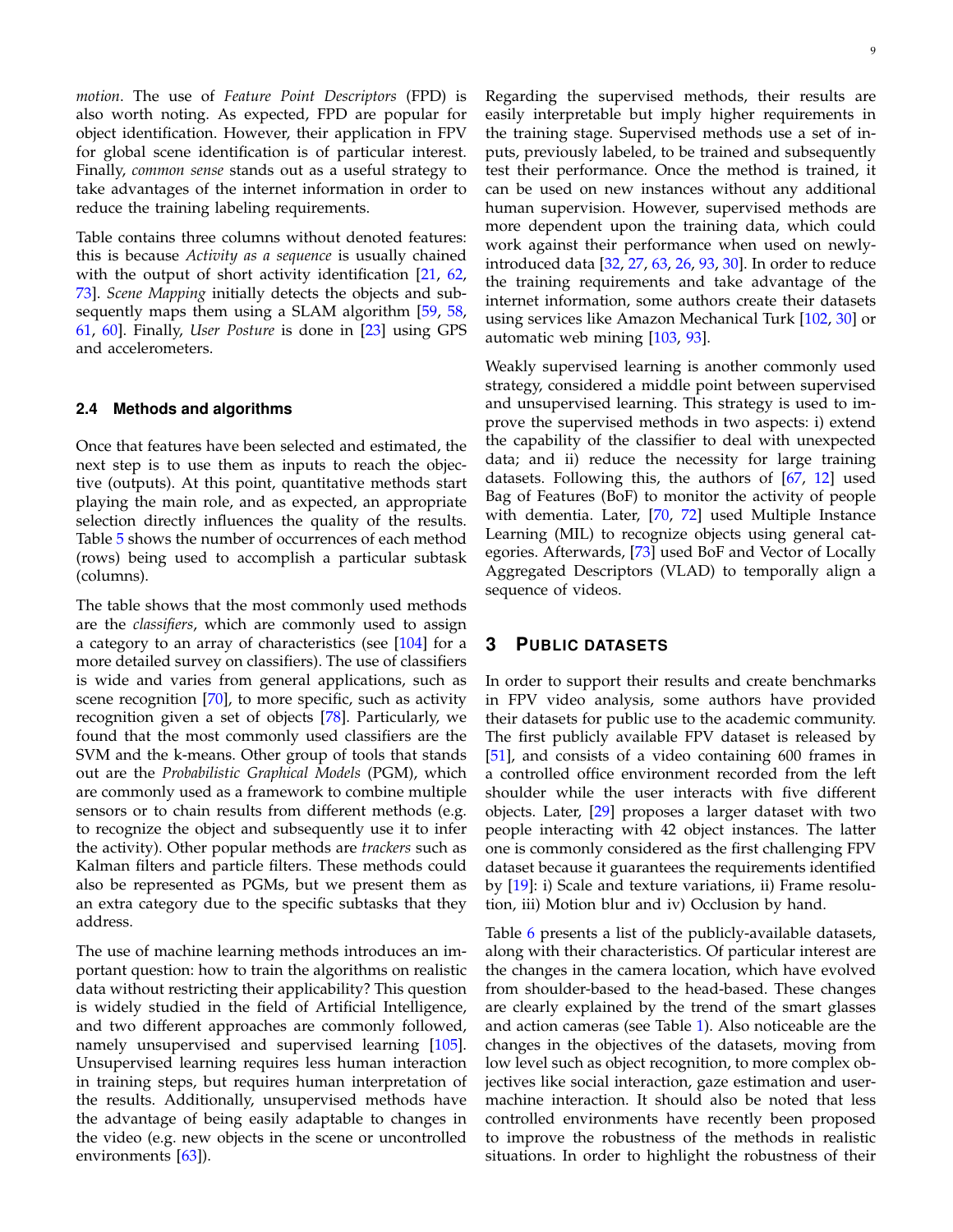*motion*. The use of *Feature Point Descriptors* (FPD) is also worth noting. As expected, FPD are popular for object identification. However, their application in FPV for global scene identification is of particular interest. Finally, *common sense* stands out as a useful strategy to take advantages of the internet information in order to reduce the training labeling requirements.

Table contains three columns without denoted features: this is because *Activity as a sequence* is usually chained with the output of short activity identification [\[21,](#page-10-20) [62,](#page-11-37) [73\]](#page-12-2). *Scene Mapping* initially detects the objects and sub-sequently maps them using a SLAM algorithm [\[59,](#page-11-34) [58,](#page-11-33) [61,](#page-11-36) [60\]](#page-11-35). Finally, *User Posture* is done in [\[23\]](#page-10-22) using GPS and accelerometers.

## <span id="page-8-1"></span>**2.4 Methods and algorithms**

Once that features have been selected and estimated, the next step is to use them as inputs to reach the objective (outputs). At this point, quantitative methods start playing the main role, and as expected, an appropriate selection directly influences the quality of the results. Table [5](#page-9-1) shows the number of occurrences of each method (rows) being used to accomplish a particular subtask (columns).

The table shows that the most commonly used methods are the *classifiers*, which are commonly used to assign a category to an array of characteristics (see [\[104\]](#page-12-32) for a more detailed survey on classifiers). The use of classifiers is wide and varies from general applications, such as scene recognition [\[70\]](#page-11-10), to more specific, such as activity recognition given a set of objects [\[78\]](#page-12-7). Particularly, we found that the most commonly used classifiers are the SVM and the k-means. Other group of tools that stands out are the *Probabilistic Graphical Models* (PGM), which are commonly used as a framework to combine multiple sensors or to chain results from different methods (e.g. to recognize the object and subsequently use it to infer the activity). Other popular methods are *trackers* such as Kalman filters and particle filters. These methods could also be represented as PGMs, but we present them as an extra category due to the specific subtasks that they address.

The use of machine learning methods introduces an important question: how to train the algorithms on realistic data without restricting their applicability? This question is widely studied in the field of Artificial Intelligence, and two different approaches are commonly followed, namely unsupervised and supervised learning [\[105\]](#page-12-33). Unsupervised learning requires less human interaction in training steps, but requires human interpretation of the results. Additionally, unsupervised methods have the advantage of being easily adaptable to changes in the video (e.g. new objects in the scene or uncontrolled environments [\[63\]](#page-11-38)).

Regarding the supervised methods, their results are easily interpretable but imply higher requirements in the training stage. Supervised methods use a set of inputs, previously labeled, to be trained and subsequently test their performance. Once the method is trained, it can be used on new instances without any additional human supervision. However, supervised methods are more dependent upon the training data, which could work against their performance when used on newlyintroduced data [\[32,](#page-11-5) [27,](#page-11-0) [63,](#page-11-38) [26,](#page-10-25) [93,](#page-12-21) [30\]](#page-11-3). In order to reduce the training requirements and take advantage of the internet information, some authors create their datasets using services like Amazon Mechanical Turk [\[102,](#page-12-30) [30\]](#page-11-3) or automatic web mining [\[103,](#page-12-31) [93\]](#page-12-21).

Weakly supervised learning is another commonly used strategy, considered a middle point between supervised and unsupervised learning. This strategy is used to improve the supervised methods in two aspects: i) extend the capability of the classifier to deal with unexpected data; and ii) reduce the necessity for large training datasets. Following this, the authors of [\[67,](#page-11-41) [12\]](#page-10-11) used Bag of Features (BoF) to monitor the activity of people with dementia. Later, [\[70,](#page-11-10) [72\]](#page-12-1) used Multiple Instance Learning (MIL) to recognize objects using general categories. Afterwards, [\[73\]](#page-12-2) used BoF and Vector of Locally Aggregated Descriptors (VLAD) to temporally align a sequence of videos.

## <span id="page-8-0"></span>**3 PUBLIC DATASETS**

In order to support their results and create benchmarks in FPV video analysis, some authors have provided their datasets for public use to the academic community. The first publicly available FPV dataset is released by [\[51\]](#page-11-8), and consists of a video containing 600 frames in a controlled office environment recorded from the left shoulder while the user interacts with five different objects. Later, [\[29\]](#page-11-2) proposes a larger dataset with two people interacting with 42 object instances. The latter one is commonly considered as the first challenging FPV dataset because it guarantees the requirements identified by [\[19\]](#page-10-18): i) Scale and texture variations, ii) Frame resolution, iii) Motion blur and iv) Occlusion by hand.

Table [6](#page-10-26) presents a list of the publicly-available datasets, along with their characteristics. Of particular interest are the changes in the camera location, which have evolved from shoulder-based to the head-based. These changes are clearly explained by the trend of the smart glasses and action cameras (see Table [1\)](#page-2-0). Also noticeable are the changes in the objectives of the datasets, moving from low level such as object recognition, to more complex objectives like social interaction, gaze estimation and usermachine interaction. It should also be noted that less controlled environments have recently been proposed to improve the robustness of the methods in realistic situations. In order to highlight the robustness of their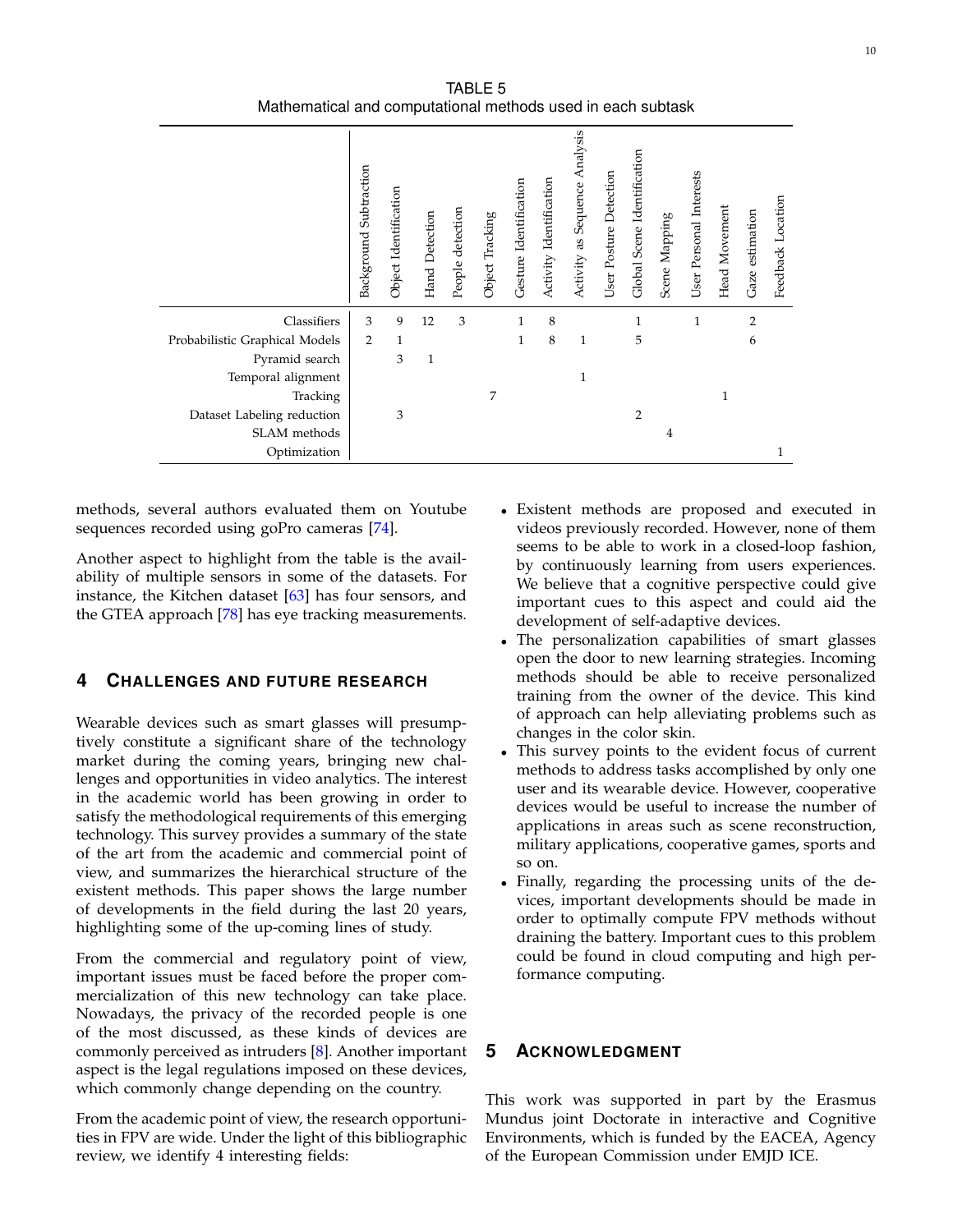TABLE 5 Mathematical and computational methods used in each subtask

<span id="page-9-1"></span>

|                                | Background Subtraction | Object Identification | Hand Detection | detection<br>People | Object Tracking | Gesture Identification | Activity Identification | Analysis<br>as Sequence<br>Activity | Detection<br>User Posture | Global Scene Identification | Scene Mapping | User Personal Interests | Head Movement | Gaze estimation | Feedback Location |
|--------------------------------|------------------------|-----------------------|----------------|---------------------|-----------------|------------------------|-------------------------|-------------------------------------|---------------------------|-----------------------------|---------------|-------------------------|---------------|-----------------|-------------------|
| Classifiers                    | 3                      | 9                     | 12             | 3                   |                 | $\mathbf{1}$           | 8                       |                                     |                           | $\mathbf{1}$                |               | 1                       |               | 2               |                   |
| Probabilistic Graphical Models | $\overline{2}$         | $\mathbf{1}$          |                |                     |                 | 1                      | 8                       | $\mathbf{1}$                        |                           | 5                           |               |                         |               | 6               |                   |
| Pyramid search                 |                        | 3                     | $\mathbf{1}$   |                     |                 |                        |                         |                                     |                           |                             |               |                         |               |                 |                   |
| Temporal alignment             |                        |                       |                |                     |                 |                        |                         | 1                                   |                           |                             |               |                         |               |                 |                   |
| Tracking                       |                        |                       |                |                     | 7               |                        |                         |                                     |                           |                             |               |                         |               |                 |                   |
| Dataset Labeling reduction     |                        | 3                     |                |                     |                 |                        |                         |                                     |                           | $\overline{2}$              |               |                         |               |                 |                   |
| SLAM methods                   |                        |                       |                |                     |                 |                        |                         |                                     |                           |                             | 4             |                         |               |                 |                   |
| Optimization                   |                        |                       |                |                     |                 |                        |                         |                                     |                           |                             |               |                         |               |                 | 1                 |

methods, several authors evaluated them on Youtube sequences recorded using goPro cameras [\[74\]](#page-12-3).

Another aspect to highlight from the table is the availability of multiple sensors in some of the datasets. For instance, the Kitchen dataset  $[63]$  has four sensors, and the GTEA approach [\[78\]](#page-12-7) has eye tracking measurements.

## <span id="page-9-0"></span>**4 CHALLENGES AND FUTURE RESEARCH**

Wearable devices such as smart glasses will presumptively constitute a significant share of the technology market during the coming years, bringing new challenges and opportunities in video analytics. The interest in the academic world has been growing in order to satisfy the methodological requirements of this emerging technology. This survey provides a summary of the state of the art from the academic and commercial point of view, and summarizes the hierarchical structure of the existent methods. This paper shows the large number of developments in the field during the last 20 years, highlighting some of the up-coming lines of study.

From the commercial and regulatory point of view, important issues must be faced before the proper commercialization of this new technology can take place. Nowadays, the privacy of the recorded people is one of the most discussed, as these kinds of devices are commonly perceived as intruders [\[8\]](#page-10-7). Another important aspect is the legal regulations imposed on these devices, which commonly change depending on the country.

From the academic point of view, the research opportunities in FPV are wide. Under the light of this bibliographic review, we identify 4 interesting fields:

- Existent methods are proposed and executed in videos previously recorded. However, none of them seems to be able to work in a closed-loop fashion, by continuously learning from users experiences. We believe that a cognitive perspective could give important cues to this aspect and could aid the development of self-adaptive devices.
- The personalization capabilities of smart glasses open the door to new learning strategies. Incoming methods should be able to receive personalized training from the owner of the device. This kind of approach can help alleviating problems such as changes in the color skin.
- This survey points to the evident focus of current methods to address tasks accomplished by only one user and its wearable device. However, cooperative devices would be useful to increase the number of applications in areas such as scene reconstruction, military applications, cooperative games, sports and so on.
- Finally, regarding the processing units of the devices, important developments should be made in order to optimally compute FPV methods without draining the battery. Important cues to this problem could be found in cloud computing and high performance computing.

## **5 ACKNOWLEDGMENT**

This work was supported in part by the Erasmus Mundus joint Doctorate in interactive and Cognitive Environments, which is funded by the EACEA, Agency of the European Commission under EMJD ICE.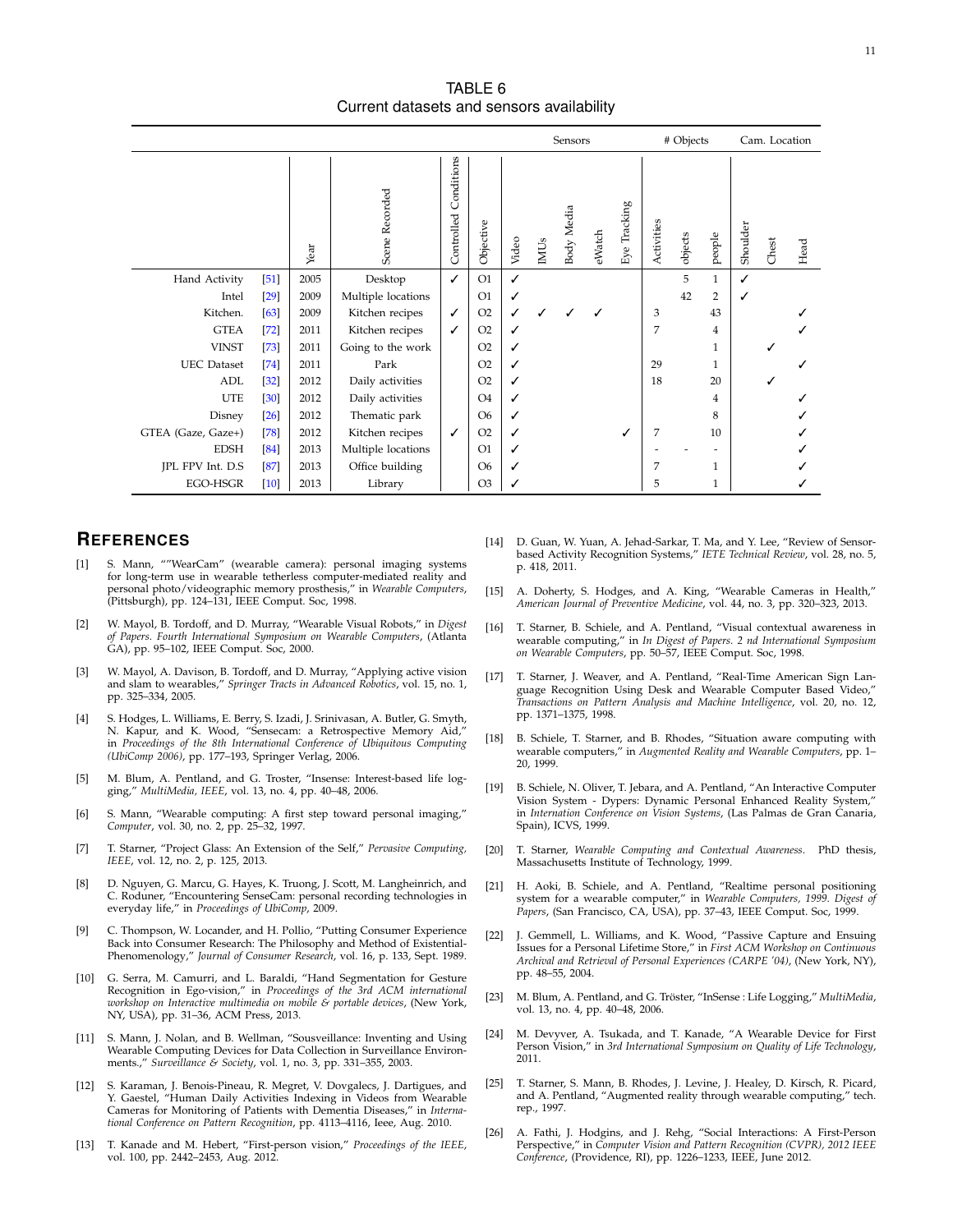TABLE 6 Current datasets and sensors availability

<span id="page-10-26"></span>

|                    |        |      |                    |                          |                |       |      | Sensors    |        |                           |            | # Objects |              | Cam. Location |       |      |
|--------------------|--------|------|--------------------|--------------------------|----------------|-------|------|------------|--------|---------------------------|------------|-----------|--------------|---------------|-------|------|
|                    |        | Year | Scene Recorded     | Conditions<br>Controlled | Objective      | Video | IMUs | Body Media | eWatch | Tracking<br>$_{\rm{Eye}}$ | Activities | objects   | people       | Shoulder      | Chest | Head |
| Hand Activity      | $[51]$ | 2005 | Desktop            | ✓                        | O1             | ✓     |      |            |        |                           |            | 5         | $\mathbf{1}$ | ✓             |       |      |
| Intel              | $[29]$ | 2009 | Multiple locations |                          | O <sub>1</sub> | ✓     |      |            |        |                           |            | 42        | 2            | ✓             |       |      |
| Kitchen.           | [63]   | 2009 | Kitchen recipes    | ✓                        | O2             | ✓     |      |            |        |                           | 3          |           | 43           |               |       |      |
| <b>GTEA</b>        | $[72]$ | 2011 | Kitchen recipes    | ✓                        | O2             | ✓     |      |            |        |                           | 7          |           | 4            |               |       |      |
| <b>VINST</b>       | $[73]$ | 2011 | Going to the work  |                          | O2             | ✓     |      |            |        |                           |            |           | 1            |               |       |      |
| <b>UEC</b> Dataset | $[74]$ | 2011 | Park               |                          | O <sub>2</sub> | ✓     |      |            |        |                           | 29         |           | 1            |               |       |      |
| ADL                | $[32]$ | 2012 | Daily activities   |                          | O <sub>2</sub> | ✓     |      |            |        |                           | 18         |           | 20           |               |       |      |
| <b>UTE</b>         | $[30]$ | 2012 | Daily activities   |                          | O <sub>4</sub> | ✓     |      |            |        |                           |            |           | 4            |               |       |      |
| Disney             | $[26]$ | 2012 | Thematic park      |                          | O <sub>6</sub> | ✓     |      |            |        |                           |            |           | 8            |               |       |      |
| GTEA (Gaze, Gaze+) | $[78]$ | 2012 | Kitchen recipes    | ✓                        | O2             | ✓     |      |            |        | ✓                         | 7          |           | 10           |               |       |      |
| <b>EDSH</b>        | [84]   | 2013 | Multiple locations |                          | O <sub>1</sub> | ✓     |      |            |        |                           |            |           |              |               |       |      |
| JPL FPV Int. D.S.  | [87]   | 2013 | Office building    |                          | O <sub>6</sub> | ✓     |      |            |        |                           |            |           | 1            |               |       |      |
| EGO-HSGR           | $[10]$ | 2013 | Library            |                          | O <sub>3</sub> | ✓     |      |            |        |                           | 5          |           | $\mathbf{1}$ |               |       |      |

## **REFERENCES**

- <span id="page-10-0"></span>[1] S. Mann, ""WearCam" (wearable camera): personal imaging systems for long-term use in wearable tetherless computer-mediated reality and personal photo/videographic memory prosthesis," in *Wearable Computers*, (Pittsburgh), pp. 124–131, IEEE Comput. Soc, 1998.
- <span id="page-10-1"></span>[2] W. Mayol, B. Tordoff, and D. Murray, "Wearable Visual Robots," in *Digest of Papers. Fourth International Symposium on Wearable Computers*, (Atlanta GA), pp. 95–102, IEEE Comput. Soc, 2000.
- <span id="page-10-2"></span>[3] W. Mayol, A. Davison, B. Tordoff, and D. Murray, "Applying active vision and slam to wearables," *Springer Tracts in Advanced Robotics*, vol. 15, no. 1, pp. 325–334, 2005.
- <span id="page-10-3"></span>[4] S. Hodges, L. Williams, E. Berry, S. Izadi, J. Srinivasan, A. Butler, G. Smyth, N. Kapur, and K. Wood, "Sensecam: a Retrospective Memory Aid," in *Proceedings of the 8th International Conference of Ubiquitous Computing (UbiComp 2006)*, pp. 177–193, Springer Verlag, 2006.
- <span id="page-10-4"></span>[5] M. Blum, A. Pentland, and G. Troster, "Insense: Interest-based life logging," *MultiMedia, IEEE*, vol. 13, no. 4, pp. 40–48, 2006.
- <span id="page-10-5"></span>[6] S. Mann, "Wearable computing: A first step toward personal imaging," *Computer*, vol. 30, no. 2, pp. 25–32, 1997.
- <span id="page-10-6"></span>[7] T. Starner, "Project Glass: An Extension of the Self," *Pervasive Computing, IEEE*, vol. 12, no. 2, p. 125, 2013.
- <span id="page-10-7"></span>[8] D. Nguyen, G. Marcu, G. Hayes, K. Truong, J. Scott, M. Langheinrich, and C. Roduner, "Encountering SenseCam: personal recording technologies in everyday life," in *Proceedings of UbiComp*, 2009.
- <span id="page-10-8"></span>C. Thompson, W. Locander, and H. Pollio, "Putting Consumer Experience Back into Consumer Research: The Philosophy and Method of Existential-Phenomenology," *Journal of Consumer Research*, vol. 16, p. 133, Sept. 1989.
- <span id="page-10-9"></span>[10] G. Serra, M. Camurri, and L. Baraldi, "Hand Segmentation for Gesture Recognition in Ego-vision," in *Proceedings of the 3rd ACM international workshop on Interactive multimedia on mobile & portable devices*, (New York, NY, USA), pp. 31–36, ACM Press, 2013.
- <span id="page-10-10"></span>[11] S. Mann, J. Nolan, and B. Wellman, "Sousveillance: Inventing and Using Wearable Computing Devices for Data Collection in Surveillance Environments.," *Surveillance & Society*, vol. 1, no. 3, pp. 331–355, 2003.
- <span id="page-10-11"></span>[12] S. Karaman, J. Benois-Pineau, R. Megret, V. Dovgalecs, J. Dartigues, and Y. Gaestel, "Human Daily Activities Indexing in Videos from Wearable Cameras for Monitoring of Patients with Dementia Diseases," in *International Conference on Pattern Recognition*, pp. 4113–4116, Ieee, Aug. 2010.
- <span id="page-10-12"></span>[13] T. Kanade and M. Hebert, "First-person vision," *Proceedings of the IEEE*, vol. 100, pp. 2442–2453, Aug. 2012.
- <span id="page-10-13"></span>[14] D. Guan, W. Yuan, A. Jehad-Sarkar, T. Ma, and Y. Lee, "Review of Sensorbased Activity Recognition Systems," *IETE Technical Review*, vol. 28, no. 5, p. 418, 2011.
- <span id="page-10-14"></span>[15] A. Doherty, S. Hodges, and A. King, "Wearable Cameras in Health," *American Journal of Preventive Medicine*, vol. 44, no. 3, pp. 320–323, 2013.
- <span id="page-10-15"></span>[16] T. Starner, B. Schiele, and A. Pentland, "Visual contextual awareness in wearable computing," in *In Digest of Papers. 2 nd International Symposium on Wearable Computers*, pp. 50–57, IEEE Comput. Soc, 1998.
- <span id="page-10-16"></span>[17] T. Starner, J. Weaver, and A. Pentland, "Real-Time American Sign Language Recognition Using Desk and Wearable Computer Based Video, *Transactions on Pattern Analysis and Machine Intelligence*, vol. 20, no. 12, pp. 1371–1375, 1998.
- <span id="page-10-17"></span>[18] B. Schiele, T. Starner, and B. Rhodes, "Situation aware computing with wearable computers," in *Augmented Reality and Wearable Computers*, pp. 1– 20, 1999.
- <span id="page-10-18"></span>[19] B. Schiele, N. Oliver, T. Jebara, and A. Pentland, "An Interactive Computer Vision System - Dypers: Dynamic Personal Enhanced Reality System," in *Internation Conference on Vision Systems*, (Las Palmas de Gran Canaria, Spain), ICVS, 1999.
- <span id="page-10-19"></span>[20] T. Starner, *Wearable Computing and Contextual Awareness*. PhD thesis, Massachusetts Institute of Technology, 1999.
- <span id="page-10-20"></span>[21] H. Aoki, B. Schiele, and A. Pentland, "Realtime personal positioning system for a wearable computer," in *Wearable Computers, 1999. Digest of Papers*, (San Francisco, CA, USA), pp. 37–43, IEEE Comput. Soc, 1999.
- <span id="page-10-21"></span>[22] J. Gemmell, L. Williams, and K. Wood, "Passive Capture and Ensuing Issues for a Personal Lifetime Store," in *First ACM Workshop on Continuous Archival and Retrieval of Personal Experiences (CARPE '04)*, (New York, NY), pp. 48–55, 2004.
- <span id="page-10-22"></span>M. Blum, A. Pentland, and G. Tröster, "InSense : Life Logging," MultiMedia, vol. 13, no. 4, pp. 40–48, 2006.
- <span id="page-10-23"></span>[24] M. Devyver, A. Tsukada, and T. Kanade, "A Wearable Device for First Person Vision," in *3rd International Symposium on Quality of Life Technology*, 2011.
- <span id="page-10-24"></span>[25] T. Starner, S. Mann, B. Rhodes, J. Levine, J. Healey, D. Kirsch, R. Picard, and A. Pentland, "Augmented reality through wearable computing," tech. rep., 1997.
- <span id="page-10-25"></span>[26] A. Fathi, J. Hodgins, and J. Rehg, "Social Interactions: A First-Person Perspective," in *Computer Vision and Pattern Recognition (CVPR), 2012 IEEE Conference*, (Providence, RI), pp. 1226–1233, IEEE, June 2012.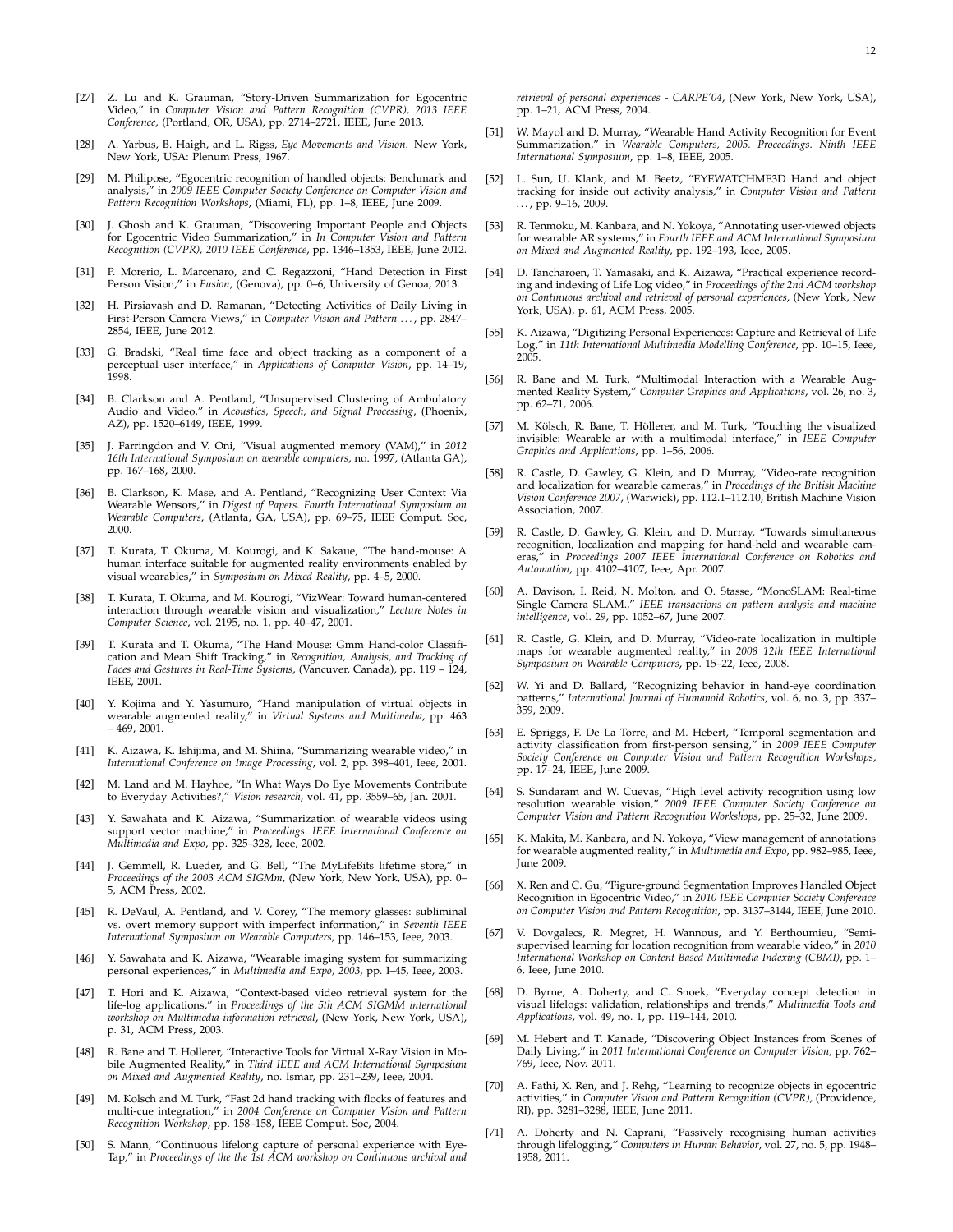- <span id="page-11-0"></span>[27] Z. Lu and K. Grauman, "Story-Driven Summarization for Egocentric Video," in *Computer Vision and Pattern Recognition (CVPR), 2013 IEEE Conference*, (Portland, OR, USA), pp. 2714–2721, IEEE, June 2013.
- <span id="page-11-1"></span>[28] A. Yarbus, B. Haigh, and L. Rigss, *Eye Movements and Vision*. New York, New York, USA: Plenum Press, 1967.
- <span id="page-11-2"></span>[29] M. Philipose, "Egocentric recognition of handled objects: Benchmark and analysis," in *2009 IEEE Computer Society Conference on Computer Vision and Pattern Recognition Workshops*, (Miami, FL), pp. 1–8, IEEE, June 2009.
- <span id="page-11-3"></span>[30] J. Ghosh and K. Grauman, "Discovering Important People and Objects for Egocentric Video Summarization," in *In Computer Vision and Pattern Recognition (CVPR), 2010 IEEE Conference*, pp. 1346–1353, IEEE, June 2012.
- <span id="page-11-4"></span>[31] P. Morerio, L. Marcenaro, and C. Regazzoni, "Hand Detection in First Person Vision," in *Fusion*, (Genova), pp. 0–6, University of Genoa, 2013.
- <span id="page-11-5"></span>[32] H. Pirsiavash and D. Ramanan, "Detecting Activities of Daily Living in First-Person Camera Views," in *Computer Vision and Pattern . . .* , pp. 2847– 2854, IEEE, June 2012.
- <span id="page-11-11"></span>[33] G. Bradski, "Real time face and object tracking as a component of a perceptual user interface," in *Applications of Computer Vision*, pp. 14–19, 1998.
- <span id="page-11-12"></span>[34] B. Clarkson and A. Pentland, "Unsupervised Clustering of Ambulatory Audio and Video," in *Acoustics, Speech, and Signal Processing*, (Phoenix, AZ), pp. 1520–6149, IEEE, 1999.
- <span id="page-11-6"></span>[35] J. Farringdon and V. Oni, "Visual augmented memory (VAM)," in *2012 16th International Symposium on wearable computers*, no. 1997, (Atlanta GA), pp. 167–168, 2000.
- <span id="page-11-13"></span>[36] B. Clarkson, K. Mase, and A. Pentland, "Recognizing User Context Via Wearable Wensors," in *Digest of Papers. Fourth International Symposium on Wearable Computers*, (Atlanta, GA, USA), pp. 69–75, IEEE Comput. Soc, 2000.
- <span id="page-11-14"></span>[37] T. Kurata, T. Okuma, M. Kourogi, and K. Sakaue, "The hand-mouse: A human interface suitable for augmented reality environments enabled by visual wearables," in *Symposium on Mixed Reality*, pp. 4–5, 2000.
- <span id="page-11-7"></span>[38] T. Kurata, T. Okuma, and M. Kourogi, "VizWear: Toward human-centered interaction through wearable vision and visualization," *Lecture Notes in Computer Science*, vol. 2195, no. 1, pp. 40–47, 2001.
- <span id="page-11-15"></span>[39] T. Kurata and T. Okuma, "The Hand Mouse: Gmm Hand-color Classification and Mean Shift Tracking," in *Recognition, Analysis, and Tracking of Faces and Gestures in Real-Time Systems*, (Vancuver, Canada), pp. 119 – 124, IEEE, 2001.
- <span id="page-11-16"></span>[40] Y. Kojima and Y. Yasumuro, "Hand manipulation of virtual objects in wearable augmented reality," in *Virtual Systems and Multimedia*, pp. 463 – 469, 2001.
- <span id="page-11-17"></span>[41] K. Aizawa, K. Ishijima, and M. Shiina, "Summarizing wearable video," in *International Conference on Image Processing*, vol. 2, pp. 398–401, Ieee, 2001.
- <span id="page-11-18"></span>[42] M. Land and M. Hayhoe, "In What Ways Do Eye Movements Contribute to Everyday Activities?," *Vision research*, vol. 41, pp. 3559–65, Jan. 2001.
- <span id="page-11-19"></span>[43] Y. Sawahata and K. Aizawa, "Summarization of wearable videos using support vector machine," in *Proceedings. IEEE International Conference on Multimedia and Expo*, pp. 325–328, Ieee, 2002.
- <span id="page-11-20"></span>J. Gemmell, R. Lueder, and G. Bell, "The MyLifeBits lifetime store," in *Proceedings of the 2003 ACM SIGMm*, (New York, New York, USA), pp. 0– 5, ACM Press, 2002.
- <span id="page-11-21"></span>[45] R. DeVaul, A. Pentland, and V. Corey, "The memory glasses: subliminal vs. overt memory support with imperfect information," in *Seventh IEEE International Symposium on Wearable Computers*, pp. 146–153, Ieee, 2003.
- <span id="page-11-22"></span>[46] Y. Sawahata and K. Aizawa, "Wearable imaging system for summarizing personal experiences," in *Multimedia and Expo, 2003*, pp. I–45, Ieee, 2003.
- <span id="page-11-23"></span>T. Hori and K. Aizawa, "Context-based video retrieval system for the life-log applications," in *Proceedings of the 5th ACM SIGMM international workshop on Multimedia information retrieval*, (New York, New York, USA), p. 31, ACM Press, 2003.
- <span id="page-11-24"></span>[48] R. Bane and T. Hollerer, "Interactive Tools for Virtual X-Ray Vision in Mo-bile Augmented Reality," in *Third IEEE and ACM International Symposium on Mixed and Augmented Reality*, no. Ismar, pp. 231–239, Ieee, 2004.
- <span id="page-11-25"></span>[49] M. Kolsch and M. Turk, "Fast 2d hand tracking with flocks of features and multi-cue integration," in *2004 Conference on Computer Vision and Pattern Recognition Workshop*, pp. 158–158, IEEE Comput. Soc, 2004.
- <span id="page-11-26"></span>[50] S. Mann, "Continuous lifelong capture of personal experience with Eye-Tap," in *Proceedings of the the 1st ACM workshop on Continuous archival and*

*retrieval of personal experiences - CARPE'04*, (New York, New York, USA), pp. 1–21, ACM Press, 2004.

- <span id="page-11-8"></span>[51] W. Mayol and D. Murray, "Wearable Hand Activity Recognition for Event Summarization," in *Wearable Computers, 2005. Proceedings. Ninth IEEE International Symposium*, pp. 1–8, IEEE, 2005.
- <span id="page-11-27"></span>[52] L. Sun, U. Klank, and M. Beetz, "EYEWATCHME3D Hand and object tracking for inside out activity analysis," in *Computer Vision and Pattern . . .* , pp. 9–16, 2009.
- <span id="page-11-28"></span>[53] R. Tenmoku, M. Kanbara, and N. Yokoya, "Annotating user-viewed objects for wearable AR systems," in *Fourth IEEE and ACM International Symposium on Mixed and Augmented Reality*, pp. 192–193, Ieee, 2005.
- <span id="page-11-29"></span>[54] D. Tancharoen, T. Yamasaki, and K. Aizawa, "Practical experience recording and indexing of Life Log video," in Proceedings of the 2nd ACM workshop on Continuous archival and retrieval of personal experiences, (New Yor York, USA), p. 61, ACM Press, 2005.
- <span id="page-11-30"></span>[55] K. Aizawa, "Digitizing Personal Experiences: Capture and Retrieval of Life Log," in *11th International Multimedia Modelling Conference*, pp. 10–15, Ieee, 2005.
- <span id="page-11-31"></span>[56] R. Bane and M. Turk, "Multimodal Interaction with a Wearable Aug-mented Reality System," *Computer Graphics and Applications*, vol. 26, no. 3, pp. 62-71, 2006.
- <span id="page-11-32"></span>[57] M. Kölsch, R. Bane, T. Höllerer, and M. Turk, "Touching the visualized invisible: Wearable ar with a multimodal interface," in *IEEE Computer Graphics and Applications*, pp. 1–56, 2006.
- <span id="page-11-33"></span>[58] R. Castle, D. Gawley, G. Klein, and D. Murray, "Video-rate recognition and localization for wearable cameras," in *Procedings of the British Machine Vision Conference 2007*, (Warwick), pp. 112.1–112.10, British Machine Vision Association, 2007.
- <span id="page-11-34"></span>[59] R. Castle, D. Gawley, G. Klein, and D. Murray, "Towards simultaneous recognition, localization and mapping for hand-held and wearable camin *Proceedings 2007 IEEE International Conference on Robotics and Automation*, pp. 4102–4107, Ieee, Apr. 2007.
- <span id="page-11-35"></span>[60] A. Davison, I. Reid, N. Molton, and O. Stasse, "MonoSLAM: Real-time Single Camera SLAM.," *IEEE transactions on pattern analysis and machine intelligence*, vol. 29, pp. 1052–67, June 2007.
- <span id="page-11-36"></span>[61] R. Castle, G. Klein, and D. Murray, "Video-rate localization in multiple maps for wearable augmented reality," in *2008 12th IEEE International Symposium on Wearable Computers*, pp. 15–22, Ieee, 2008.
- <span id="page-11-37"></span>[62] W. Yi and D. Ballard, "Recognizing behavior in hand-eye coordination patterns," *International Journal of Humanoid Robotics*, vol. 6, no. 3, pp. 337– 359, 2009.
- <span id="page-11-38"></span>[63] E. Spriggs, F. De La Torre, and M. Hebert, "Temporal segmentation and activity classification from first-person sensing," in *2009 IEEE Computer Society Conference on Computer Vision and Pattern Recognition Workshops*, pp. 17–24, IEEE, June 2009.
- <span id="page-11-39"></span>[64] S. Sundaram and W. Cuevas, "High level activity recognition using low resolution wearable vision," *2009 IEEE Computer Society Conference on Computer Vision and Pattern Recognition Workshops*, pp. 25–32, June 2009.
- <span id="page-11-40"></span>[65] K. Makita, M. Kanbara, and N. Yokoya, "View management of annotations for wearable augmented reality," in *Multimedia and Expo*, pp. 982–985, Ieee, June 2009.
- <span id="page-11-9"></span>[66] X. Ren and C. Gu, "Figure-ground Segmentation Improves Handled Object Recognition in Egocentric Video," in *2010 IEEE Computer Society Conference on Computer Vision and Pattern Recognition*, pp. 3137–3144, IEEE, June 2010.
- <span id="page-11-41"></span>[67] V. Dovgalecs, R. Megret, H. Wannous, and Y. Berthoumieu, "Semi-supervised learning for location recognition from wearable video," in *2010 International Workshop on Content Based Multimedia Indexing (CBMI)*, pp. 1– 6, Ieee, June 2010.
- <span id="page-11-42"></span>[68] D. Byrne, A. Doherty, and C. Snoek, "Everyday concept detection in visual lifelogs: validation, relationships and trends," *Multimedia Tools and Applications*, vol. 49, no. 1, pp. 119–144, 2010.
- <span id="page-11-43"></span>[69] M. Hebert and T. Kanade, "Discovering Object Instances from Scenes of Daily Living," in *2011 International Conference on Computer Vision*, pp. 762– 769, Ieee, Nov. 2011.
- <span id="page-11-10"></span>[70] A. Fathi, X. Ren, and J. Rehg, "Learning to recognize objects in egocentric activities," in *Computer Vision and Pattern Recognition (CVPR)*, (Providence, RI), pp. 3281–3288, IEEE, June 2011.
- <span id="page-11-44"></span>[71] A. Doherty and N. Caprani, "Passively recognising human activities through lifelogging," *Computers in Human Behavior*, vol. 27, no. 5, pp. 1948– 1958, 2011.